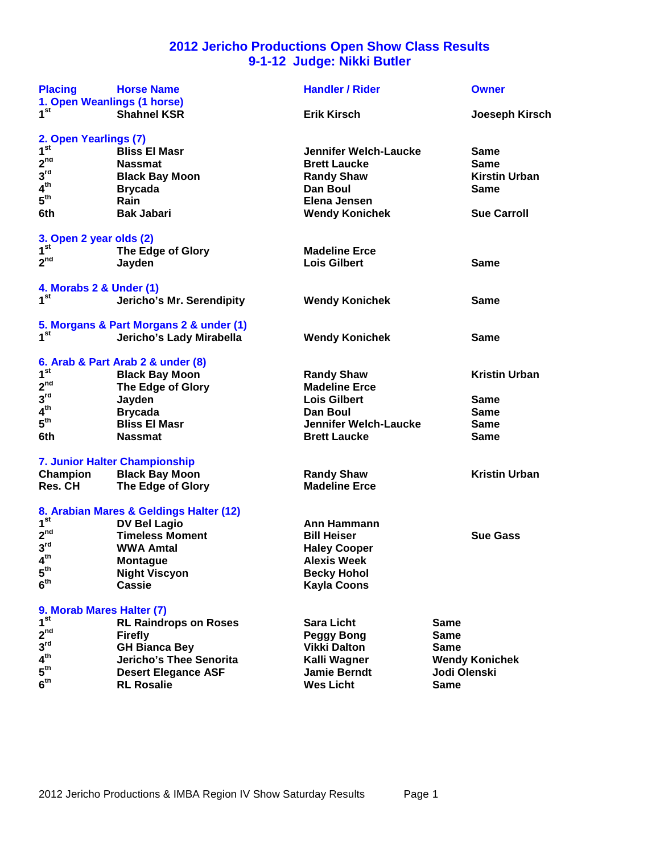# **2012 Jericho Productions Open Show Class Results 9-1-12 Judge: Nikki Butler**

| <b>Placing</b><br>1. Open Weanlings (1 horse) | <b>Horse Name</b>                       | <b>Handler / Rider</b>       |              | <b>Owner</b>          |
|-----------------------------------------------|-----------------------------------------|------------------------------|--------------|-----------------------|
| 1 <sup>st</sup>                               | <b>Shahnel KSR</b>                      | <b>Erik Kirsch</b>           |              | Joeseph Kirsch        |
| 2. Open Yearlings (7)                         |                                         |                              |              |                       |
| 1 <sup>st</sup>                               | <b>Bliss El Masr</b>                    | <b>Jennifer Welch-Laucke</b> |              | Same                  |
| 2 <sup>nd</sup>                               | <b>Nassmat</b>                          | <b>Brett Laucke</b>          |              | <b>Same</b>           |
| 3 <sup>rd</sup>                               | <b>Black Bay Moon</b>                   | <b>Randy Shaw</b>            |              | <b>Kirstin Urban</b>  |
| 4 <sup>th</sup>                               | <b>Brycada</b>                          | Dan Boul                     |              | Same                  |
| 5 <sup>th</sup>                               | Rain                                    | Elena Jensen                 |              |                       |
| 6th                                           | <b>Bak Jabari</b>                       | <b>Wendy Konichek</b>        |              | <b>Sue Carroll</b>    |
| 3. Open 2 year olds (2)                       |                                         |                              |              |                       |
| $1^{\rm st}$                                  | The Edge of Glory                       | <b>Madeline Erce</b>         |              |                       |
| 2 <sup>nd</sup>                               | Jayden                                  | <b>Lois Gilbert</b>          |              | <b>Same</b>           |
|                                               |                                         |                              |              |                       |
| 4. Morabs 2 & Under (1)<br>1 <sup>st</sup>    |                                         |                              |              |                       |
|                                               | Jericho's Mr. Serendipity               | <b>Wendy Konichek</b>        |              | <b>Same</b>           |
|                                               | 5. Morgans & Part Morgans 2 & under (1) |                              |              |                       |
| 1 <sup>st</sup>                               | Jericho's Lady Mirabella                | <b>Wendy Konichek</b>        |              | Same                  |
|                                               | 6. Arab & Part Arab 2 & under (8)       |                              |              |                       |
| 1 <sup>st</sup>                               |                                         |                              |              |                       |
| 2 <sup>nd</sup>                               | <b>Black Bay Moon</b>                   | <b>Randy Shaw</b>            |              | <b>Kristin Urban</b>  |
|                                               | The Edge of Glory                       | <b>Madeline Erce</b>         |              |                       |
| $3^{\text{rd}}$                               | Jayden                                  | <b>Lois Gilbert</b>          |              | Same                  |
| 4 <sup>th</sup>                               | <b>Brycada</b>                          | Dan Boul                     |              | Same                  |
| 5 <sup>th</sup>                               | <b>Bliss El Masr</b>                    | <b>Jennifer Welch-Laucke</b> |              | Same                  |
| 6th                                           | <b>Nassmat</b>                          | <b>Brett Laucke</b>          |              | <b>Same</b>           |
|                                               | 7. Junior Halter Championship           |                              |              |                       |
| Champion                                      | <b>Black Bay Moon</b>                   | <b>Randy Shaw</b>            |              | <b>Kristin Urban</b>  |
| <b>Res. CH</b>                                | The Edge of Glory                       | <b>Madeline Erce</b>         |              |                       |
|                                               | 8. Arabian Mares & Geldings Halter (12) |                              |              |                       |
| 1 <sup>st</sup>                               | <b>DV Bel Lagio</b>                     | Ann Hammann                  |              |                       |
| 2 <sup>nd</sup>                               | <b>Timeless Moment</b>                  | <b>Bill Heiser</b>           |              | <b>Sue Gass</b>       |
| 3 <sup>rd</sup>                               | <b>WWA Amtal</b>                        | <b>Haley Cooper</b>          |              |                       |
| $4^{\text{th}}$                               | <b>Montague</b>                         | Alexis Week                  |              |                       |
| 5 <sup>th</sup>                               | <b>Night Viscyon</b>                    | <b>Becky Hohol</b>           |              |                       |
| 6 <sup>th</sup>                               | <b>Cassie</b>                           | <b>Kayla Coons</b>           |              |                       |
|                                               |                                         |                              |              |                       |
| 9. Morab Mares Halter (7)                     |                                         |                              |              |                       |
| 1 <sup>st</sup>                               | <b>RL Raindrops on Roses</b>            | <b>Sara Licht</b>            | <b>Same</b>  |                       |
| 2 <sup>nd</sup>                               | <b>Firefly</b>                          | <b>Peggy Bong</b>            | Same         |                       |
| 3 <sup>rd</sup>                               | <b>GH Bianca Bey</b>                    | <b>Vikki Dalton</b>          | Same         |                       |
| 4 <sup>th</sup>                               | Jericho's Thee Senorita                 | Kalli Wagner                 |              | <b>Wendy Konichek</b> |
| 5 <sup>th</sup>                               | <b>Desert Elegance ASF</b>              | Jamie Berndt                 | Jodi Olenski |                       |
| 6 <sup>th</sup>                               | <b>RL Rosalie</b>                       | <b>Wes Licht</b>             | <b>Same</b>  |                       |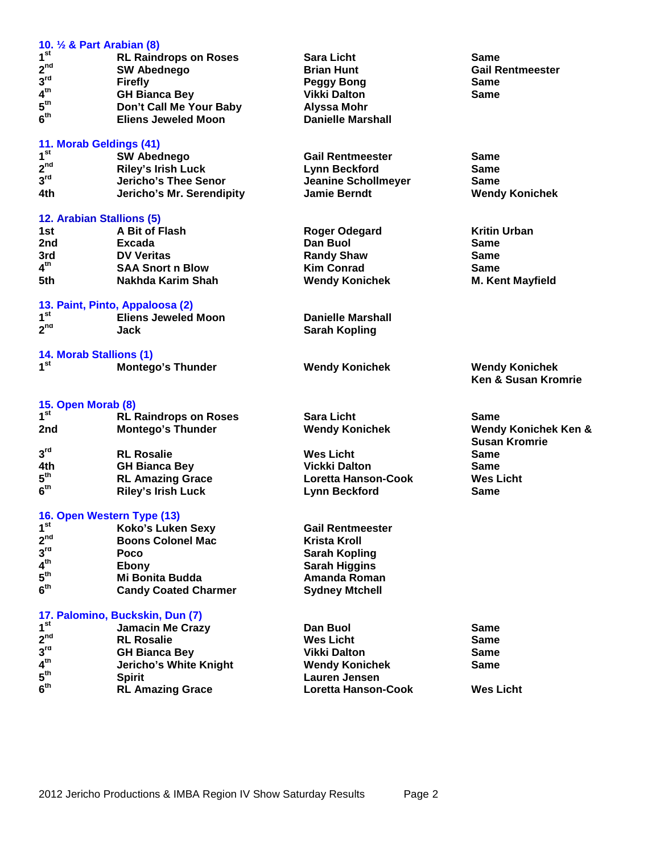| 10. 1/2 & Part Arabian (8)                    |                                                      |                            |                                 |
|-----------------------------------------------|------------------------------------------------------|----------------------------|---------------------------------|
| 1 <sup>st</sup>                               |                                                      | <b>Sara Licht</b>          | Same                            |
| $2^{nd}$                                      | <b>RL Raindrops on Roses</b>                         |                            |                                 |
| 3 <sup>rd</sup>                               | <b>SW Abednego</b>                                   | <b>Brian Hunt</b>          | <b>Gail Rentmeester</b>         |
| 4 <sup>th</sup>                               | <b>Firefly</b>                                       | <b>Peggy Bong</b>          | <b>Same</b>                     |
| 5 <sup>th</sup>                               | <b>GH Bianca Bey</b>                                 | <b>Vikki Dalton</b>        | <b>Same</b>                     |
|                                               | Don't Call Me Your Baby                              | <b>Alyssa Mohr</b>         |                                 |
| 6 <sup>th</sup>                               | <b>Eliens Jeweled Moon</b>                           | <b>Danielle Marshall</b>   |                                 |
|                                               |                                                      |                            |                                 |
| 11. Morab Geldings (41)<br>1 <sup>st</sup>    | <b>SW Abednego</b>                                   | <b>Gail Rentmeester</b>    | Same                            |
| $2^{nd}$                                      | <b>Riley's Irish Luck</b>                            |                            |                                 |
| 3 <sup>rd</sup>                               |                                                      | <b>Lynn Beckford</b>       | <b>Same</b>                     |
|                                               | Jericho's Thee Senor                                 | <b>Jeanine Schollmeyer</b> | <b>Same</b>                     |
| 4th                                           | Jericho's Mr. Serendipity                            | <b>Jamie Berndt</b>        | <b>Wendy Konichek</b>           |
| 12. Arabian Stallions (5)                     |                                                      |                            |                                 |
| 1st                                           | A Bit of Flash                                       | <b>Roger Odegard</b>       | <b>Kritin Urban</b>             |
| 2nd                                           | Excada                                               | Dan Buol                   | <b>Same</b>                     |
| 3rd                                           | <b>DV Veritas</b>                                    | <b>Randy Shaw</b>          | Same                            |
| 4 <sup>th</sup>                               | <b>SAA Snort n Blow</b>                              | <b>Kim Conrad</b>          | Same                            |
| 5th                                           | <b>Nakhda Karim Shah</b>                             | <b>Wendy Konichek</b>      | <b>M. Kent Mayfield</b>         |
|                                               |                                                      |                            |                                 |
|                                               | 13. Paint, Pinto, Appaloosa (2)                      |                            |                                 |
| 1 <sup>st</sup>                               | <b>Eliens Jeweled Moon</b>                           | <b>Danielle Marshall</b>   |                                 |
| 2 <sup>nd</sup>                               | Jack                                                 | <b>Sarah Kopling</b>       |                                 |
|                                               |                                                      |                            |                                 |
| 14. Morab Stallions (1)                       |                                                      |                            |                                 |
| 1 <sup>st</sup>                               | <b>Montego's Thunder</b>                             | <b>Wendy Konichek</b>      | <b>Wendy Konichek</b>           |
|                                               |                                                      |                            | Ken & Susan Kromrie             |
|                                               |                                                      |                            |                                 |
| 15. Open Morab (8)<br>1 <sup>st</sup>         |                                                      |                            |                                 |
|                                               | <b>RL Raindrops on Roses</b>                         | <b>Sara Licht</b>          | <b>Same</b>                     |
| 2nd                                           | <b>Montego's Thunder</b>                             | <b>Wendy Konichek</b>      | <b>Wendy Konichek Ken &amp;</b> |
|                                               |                                                      |                            | <b>Susan Kromrie</b>            |
| 3 <sup>rd</sup>                               | <b>RL Rosalie</b>                                    | <b>Wes Licht</b>           | <b>Same</b>                     |
| 4th                                           | <b>GH Bianca Bey</b>                                 | <b>Vickki Dalton</b>       | <b>Same</b>                     |
| 5 <sup>th</sup>                               | <b>RL Amazing Grace</b>                              | Loretta Hanson-Cook        | <b>Wes Licht</b>                |
| 6 <sup>th</sup>                               | <b>Riley's Irish Luck</b>                            | <b>Lynn Beckford</b>       | <b>Same</b>                     |
|                                               |                                                      |                            |                                 |
| 16. Open Western Type (13)<br>1 <sup>st</sup> |                                                      | <b>Gail Rentmeester</b>    |                                 |
| 2 <sup>nd</sup>                               | <b>Koko's Luken Sexy</b><br><b>Boons Colonel Mac</b> |                            |                                 |
| 3 <sup>rd</sup>                               |                                                      | <b>Krista Kroll</b>        |                                 |
| 4 <sup>th</sup>                               | Poco                                                 | <b>Sarah Kopling</b>       |                                 |
|                                               | <b>Ebony</b>                                         | <b>Sarah Higgins</b>       |                                 |
| $5^{\text{th}}$                               | Mi Bonita Budda                                      | Amanda Roman               |                                 |
| 6 <sup>th</sup>                               | <b>Candy Coated Charmer</b>                          | <b>Sydney Mtchell</b>      |                                 |
|                                               | 17. Palomino, Buckskin, Dun (7)                      |                            |                                 |
| 1 <sup>st</sup>                               | <b>Jamacin Me Crazy</b>                              | Dan Buol                   | <b>Same</b>                     |
| 2 <sup>nd</sup>                               | <b>RL Rosalie</b>                                    | <b>Wes Licht</b>           | <b>Same</b>                     |
| 3 <sup>rd</sup>                               |                                                      | <b>Vikki Dalton</b>        |                                 |
| 4 <sup>th</sup>                               | <b>GH Bianca Bey</b>                                 |                            | <b>Same</b>                     |
| 5 <sup>th</sup>                               | Jericho's White Knight                               | <b>Wendy Konichek</b>      | <b>Same</b>                     |
| 6 <sup>th</sup>                               | <b>Spirit</b>                                        | <b>Lauren Jensen</b>       |                                 |
|                                               | <b>RL Amazing Grace</b>                              | <b>Loretta Hanson-Cook</b> | <b>Wes Licht</b>                |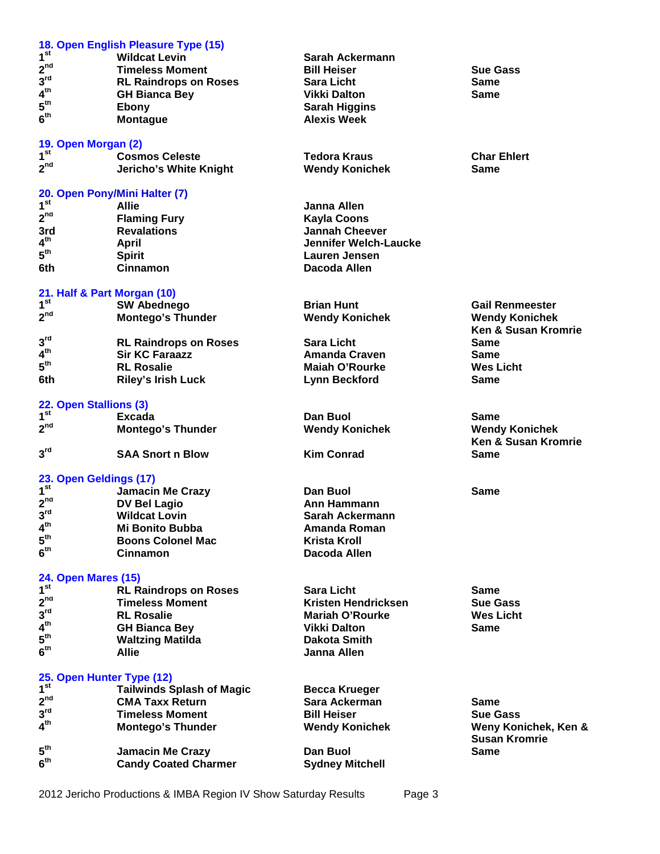|                                           | 18. Open English Pleasure Type (15) |                              |                                |
|-------------------------------------------|-------------------------------------|------------------------------|--------------------------------|
| 1 <sup>st</sup>                           | <b>Wildcat Levin</b>                | Sarah Ackermann              |                                |
| $2^{nd}$                                  | <b>Timeless Moment</b>              | <b>Bill Heiser</b>           | <b>Sue Gass</b>                |
| 3 <sup>rd</sup>                           | <b>RL Raindrops on Roses</b>        | <b>Sara Licht</b>            | <b>Same</b>                    |
| 4 <sup>th</sup>                           | <b>GH Bianca Bey</b>                | <b>Vikki Dalton</b>          | <b>Same</b>                    |
| 5 <sup>th</sup>                           | Ebony                               | <b>Sarah Higgins</b>         |                                |
| 6 <sup>th</sup>                           | <b>Montague</b>                     | <b>Alexis Week</b>           |                                |
|                                           |                                     |                              |                                |
| 19. Open Morgan (2)                       |                                     |                              |                                |
| 1 <sup>st</sup>                           | <b>Cosmos Celeste</b>               | <b>Tedora Kraus</b>          | <b>Char Ehlert</b>             |
| $2^{nd}$                                  | Jericho's White Knight              | <b>Wendy Konichek</b>        | Same                           |
|                                           | 20. Open Pony/Mini Halter (7)       |                              |                                |
| 1 <sup>st</sup>                           | <b>Allie</b>                        | Janna Allen                  |                                |
| 2 <sup>nd</sup>                           |                                     |                              |                                |
|                                           | <b>Flaming Fury</b>                 | <b>Kayla Coons</b>           |                                |
| 3rd                                       | <b>Revalations</b>                  | <b>Jannah Cheever</b>        |                                |
| $4^{\text{th}}$                           | <b>April</b>                        | <b>Jennifer Welch-Laucke</b> |                                |
| 5 <sup>th</sup>                           | <b>Spirit</b>                       | <b>Lauren Jensen</b>         |                                |
| 6th                                       | <b>Cinnamon</b>                     | Dacoda Allen                 |                                |
| 21. Half & Part Morgan (10)               |                                     |                              |                                |
| 1 <sup>st</sup>                           | <b>SW Abednego</b>                  | <b>Brian Hunt</b>            | <b>Gail Renmeester</b>         |
| 2 <sup>nd</sup>                           |                                     |                              |                                |
|                                           | <b>Montego's Thunder</b>            | <b>Wendy Konichek</b>        | <b>Wendy Konichek</b>          |
|                                           |                                     |                              | <b>Ken &amp; Susan Kromrie</b> |
| 3 <sup>rd</sup>                           | <b>RL Raindrops on Roses</b>        | <b>Sara Licht</b>            | <b>Same</b>                    |
| 4 <sup>th</sup>                           | <b>Sir KC Faraazz</b>               | <b>Amanda Craven</b>         | <b>Same</b>                    |
| 5 <sup>th</sup>                           | <b>RL Rosalie</b>                   | <b>Maiah O'Rourke</b>        | <b>Wes Licht</b>               |
| 6th                                       | <b>Riley's Irish Luck</b>           | <b>Lynn Beckford</b>         | <b>Same</b>                    |
|                                           |                                     |                              |                                |
| 22. Open Stallions (3)<br>1 <sup>st</sup> |                                     |                              |                                |
| 2 <sup>nd</sup>                           | Excada                              | Dan Buol                     | <b>Same</b>                    |
|                                           | <b>Montego's Thunder</b>            | <b>Wendy Konichek</b>        | <b>Wendy Konichek</b>          |
|                                           |                                     |                              | <b>Ken &amp; Susan Kromrie</b> |
| 3 <sup>rd</sup>                           | <b>SAA Snort n Blow</b>             | <b>Kim Conrad</b>            | <b>Same</b>                    |
| 23. Open Geldings (17)                    |                                     |                              |                                |
| 1 <sup>st</sup>                           | <b>Jamacin Me Crazy</b>             | Dan Buol                     | <b>Same</b>                    |
| 2 <sup>nd</sup>                           | <b>DV Bel Lagio</b>                 | Ann Hammann                  |                                |
| 3 <sup>rd</sup>                           |                                     |                              |                                |
| 4 <sup>th</sup>                           | <b>Wildcat Lovin</b>                | Sarah Ackermann              |                                |
|                                           | <b>Mi Bonito Bubba</b>              | <b>Amanda Roman</b>          |                                |
| 5 <sup>th</sup>                           | <b>Boons Colonel Mac</b>            | <b>Krista Kroll</b>          |                                |
| 6 <sup>th</sup>                           | <b>Cinnamon</b>                     | Dacoda Allen                 |                                |
| <b>24. Open Mares (15)</b>                |                                     |                              |                                |
| 1 <sup>st</sup>                           | <b>RL Raindrops on Roses</b>        | <b>Sara Licht</b>            | Same                           |
| 2 <sup>nd</sup>                           | <b>Timeless Moment</b>              | Kristen Hendricksen          | <b>Sue Gass</b>                |
| $3^{\text{rd}}$                           | <b>RL Rosalie</b>                   | <b>Mariah O'Rourke</b>       | <b>Wes Licht</b>               |
| 4 <sup>th</sup>                           |                                     |                              | Same                           |
| $5^{\text{th}}$                           | <b>GH Bianca Bey</b>                | <b>Vikki Dalton</b>          |                                |
|                                           | <b>Waltzing Matilda</b>             | <b>Dakota Smith</b>          |                                |
| 6 <sup>th</sup>                           | <b>Allie</b>                        | Janna Allen                  |                                |
| 25. Open Hunter Type (12)                 |                                     |                              |                                |
| 1 <sup>st</sup>                           | <b>Tailwinds Splash of Magic</b>    | <b>Becca Krueger</b>         |                                |
| 2 <sup>nd</sup>                           | <b>CMA Taxx Return</b>              | Sara Ackerman                | <b>Same</b>                    |
| 3 <sup>rd</sup>                           | <b>Timeless Moment</b>              | <b>Bill Heiser</b>           | <b>Sue Gass</b>                |
| 4 <sup>th</sup>                           | <b>Montego's Thunder</b>            | <b>Wendy Konichek</b>        | Weny Konichek, Ken &           |
|                                           |                                     |                              | <b>Susan Kromrie</b>           |
| 5 <sup>th</sup>                           | <b>Jamacin Me Crazy</b>             | Dan Buol                     | <b>Same</b>                    |
| 6 <sup>th</sup>                           | <b>Candy Coated Charmer</b>         | <b>Sydney Mitchell</b>       |                                |
|                                           |                                     |                              |                                |

2012 Jericho Productions & IMBA Region IV Show Saturday Results Page 3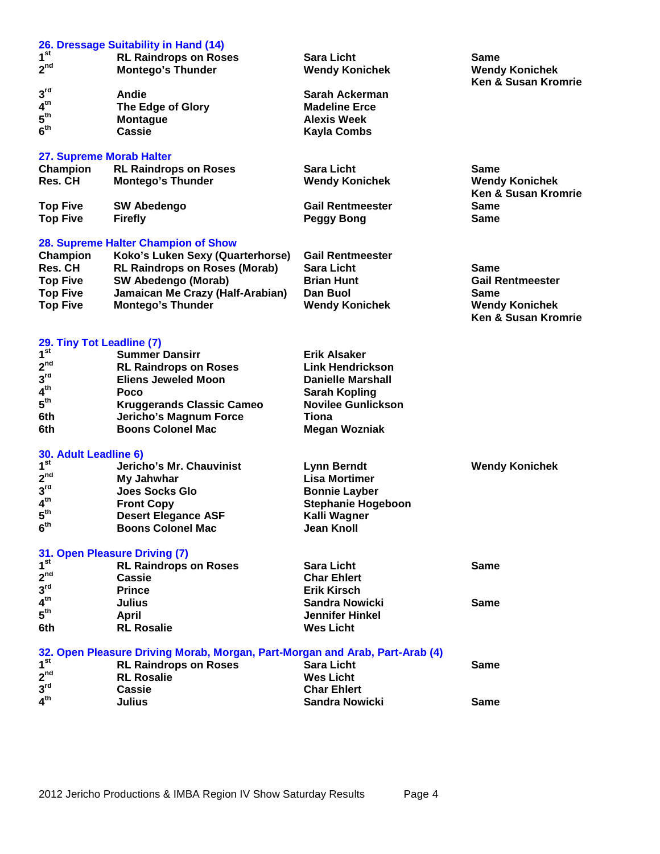#### **26. Dressage Suitability in Hand (14)**  $1^{\rm st}$ **st RL Raindrops on Roses Sara Licht Same 2 Montego's Thunder Ken & Susan Kromrie 3 rd Andie Sarah Ackerman 4 The Edge of Glory**<br>**Montague 5 th Montague Alexis Week 6 th Cassie Kayla Combs 27. Supreme Morab Halter Champion RL Raindrops on Roses Sara Licht Same Same Same Same Res. CH Montego's Thunder Symbol Standy Controller Symbol Standy Konichek Res. CH Mendy Konichek Res. CH Montego's Thunder Wendy Konichek Wendy Konichek Ken & Susan Kromrie Top Five SW Abedengo Gail Rentmeester Same Top Five** Firefly **Peggy Bong 28. Supreme Halter Champion of Show Champion Koko's Luken Sexy (Quarterhorse) Gail Rentmeester Res. CH RL Raindrops on Roses (Morab) Sara Licht Same Top Five SW Abedengo (Morab) Brian Hunt Top Five Jamaican Me Crazy (Half-Arabian) Dan Buol Same Top Five Montego's Thunder Wendy Konichek Wendy Konichek Ken & Susan Kromrie 29. Tiny Tot Leadline (7) 1 st Summer Dansirr Erik Alsaker 2 nd RL Raindrops on Roses Link Hendrickson 3 Eliens Jeweled Moon**<br>**Poco 4 Sarah Kopling<br>Novilee Gunlickson 5 th Kruggerands Classic Cameo Novile**<br> **Computer Controller Controller Controller Controller Controller Controller Controller Controller Controller 6th Jericho's Magnum Force 6th Boons Colonel Mac Megan Wozniak 30. Adult Leadline 6) 1 st Jericho's Mr. Chauvinist Lynn Berndt Wendy Konichek**  $2^{nd}$ **Lisa Mortimer<br>Bonnie Layber 3 Joes Socks Glo 4 th Front Copy Stephanie Hogeboon 5 th Desert Elegance ASF Kalli Wagner 6 Boons Colonel Mac 31. Open Pleasure Driving (7) 1 st RL Raindrops on Roses Sara Licht Same** 2<sup>nd</sup> **nd Cassie Char Ehlert 3 rd Prince Erik Kirsch**  $4<sup>th</sup>$ **th Julius Sandra Nowicki Same 5 th April Jennifer Hinkel 6th RL Rosalie 32. Open Pleasure Driving Morab, Morgan, Part-Morgan and Arab, Part-Arab (4)** 1<sup>st</sup> **st RL Raindrops on Roses Sara Licht Same 2 RL Rosalie**<br>Cassie **3 rd Cassie Char Ehlert**  $4<sup>th</sup>$ **th Julius Sandra Nowicki Same**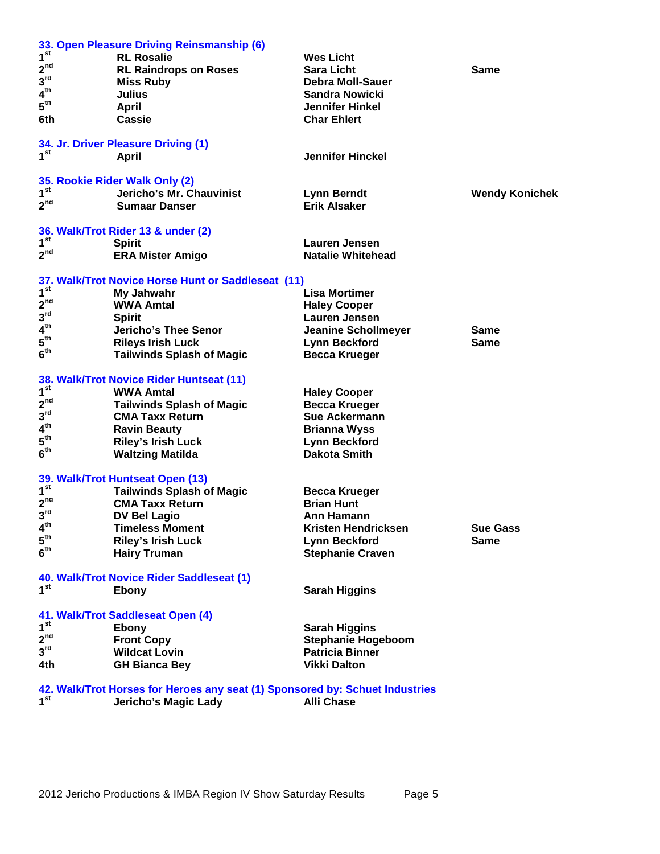|                              | 33. Open Pleasure Driving Reinsmanship (6)                                   |                            |                       |
|------------------------------|------------------------------------------------------------------------------|----------------------------|-----------------------|
| 1 <sup>st</sup>              | <b>RL Rosalie</b>                                                            | <b>Wes Licht</b>           |                       |
| 2 <sup>nd</sup>              | <b>RL Raindrops on Roses</b>                                                 | <b>Sara Licht</b>          | <b>Same</b>           |
| 3 <sup>rd</sup>              | <b>Miss Ruby</b>                                                             | <b>Debra Moll-Sauer</b>    |                       |
| 4 <sup>th</sup>              | Julius                                                                       | <b>Sandra Nowicki</b>      |                       |
| $5^{\text{th}}$              | <b>April</b>                                                                 | <b>Jennifer Hinkel</b>     |                       |
| 6th                          | <b>Cassie</b>                                                                | <b>Char Ehlert</b>         |                       |
|                              |                                                                              |                            |                       |
|                              | 34. Jr. Driver Pleasure Driving (1)                                          |                            |                       |
| 1 <sup>st</sup>              | April                                                                        | <b>Jennifer Hinckel</b>    |                       |
|                              |                                                                              |                            |                       |
|                              | 35. Rookie Rider Walk Only (2)                                               |                            |                       |
| 1 <sup>st</sup>              | Jericho's Mr. Chauvinist                                                     | <b>Lynn Berndt</b>         | <b>Wendy Konichek</b> |
| 2 <sup>nd</sup>              | <b>Sumaar Danser</b>                                                         | <b>Erik Alsaker</b>        |                       |
|                              |                                                                              |                            |                       |
|                              | 36. Walk/Trot Rider 13 & under (2)                                           |                            |                       |
| 1 <sup>st</sup>              | <b>Spirit</b>                                                                | <b>Lauren Jensen</b>       |                       |
| $2^{nd}$                     | <b>ERA Mister Amigo</b>                                                      | <b>Natalie Whitehead</b>   |                       |
|                              | 37. Walk/Trot Novice Horse Hunt or Saddleseat (11)                           |                            |                       |
| 1 <sup>st</sup>              | My Jahwahr                                                                   | <b>Lisa Mortimer</b>       |                       |
| 2 <sup>nd</sup>              | <b>WWA Amtal</b>                                                             |                            |                       |
| 3 <sup>rd</sup>              |                                                                              | <b>Haley Cooper</b>        |                       |
|                              | <b>Spirit</b>                                                                | Lauren Jensen              |                       |
| 4 <sup>th</sup>              | Jericho's Thee Senor                                                         | <b>Jeanine Schollmeyer</b> | <b>Same</b>           |
| $5^{\text{th}}$              | <b>Rileys Irish Luck</b>                                                     | <b>Lynn Beckford</b>       | <b>Same</b>           |
| 6 <sup>th</sup>              | <b>Tailwinds Splash of Magic</b>                                             | <b>Becca Krueger</b>       |                       |
|                              |                                                                              |                            |                       |
| 1 <sup>st</sup>              | 38. Walk/Trot Novice Rider Huntseat (11)                                     |                            |                       |
|                              | <b>WWA Amtal</b>                                                             | <b>Haley Cooper</b>        |                       |
| $2^{nd}$                     | <b>Tailwinds Splash of Magic</b>                                             | <b>Becca Krueger</b>       |                       |
| 3 <sup>rd</sup>              | <b>CMA Taxx Return</b>                                                       | <b>Sue Ackermann</b>       |                       |
| $\boldsymbol{4}^{\text{th}}$ | <b>Ravin Beauty</b>                                                          | <b>Brianna Wyss</b>        |                       |
| $5^{\text{th}}$              | <b>Riley's Irish Luck</b>                                                    | <b>Lynn Beckford</b>       |                       |
| 6 <sup>th</sup>              | <b>Waltzing Matilda</b>                                                      | <b>Dakota Smith</b>        |                       |
|                              |                                                                              |                            |                       |
|                              | 39. Walk/Trot Huntseat Open (13)                                             |                            |                       |
| 1 <sup>st</sup>              | <b>Tailwinds Splash of Magic</b>                                             | <b>Becca Krueger</b>       |                       |
| 2 <sup>nd</sup>              | <b>CMA Taxx Return</b>                                                       | <b>Brian Hunt</b>          |                       |
| $3^{\text{rd}}$              | <b>DV Bel Lagio</b>                                                          | Ann Hamann                 |                       |
| $4^{\text{th}}$              | <b>Timeless Moment</b>                                                       | Kristen Hendricksen        | <b>Sue Gass</b>       |
| $5^{\text{th}}$              | <b>Riley's Irish Luck</b>                                                    | <b>Lynn Beckford</b>       | <b>Same</b>           |
| 6 <sup>th</sup>              | <b>Hairy Truman</b>                                                          | <b>Stephanie Craven</b>    |                       |
|                              |                                                                              |                            |                       |
|                              | 40. Walk/Trot Novice Rider Saddleseat (1)                                    |                            |                       |
| 1 <sup>st</sup>              | Ebony                                                                        | <b>Sarah Higgins</b>       |                       |
|                              |                                                                              |                            |                       |
| 1 <sup>st</sup>              | 41. Walk/Trot Saddleseat Open (4)                                            |                            |                       |
|                              | Ebony                                                                        | <b>Sarah Higgins</b>       |                       |
| 2 <sup>nd</sup>              | <b>Front Copy</b>                                                            | <b>Stephanie Hogeboom</b>  |                       |
| 3 <sup>rd</sup>              | <b>Wildcat Lovin</b>                                                         | <b>Patricia Binner</b>     |                       |
| 4th                          | <b>GH Bianca Bey</b>                                                         | <b>Vikki Dalton</b>        |                       |
|                              | 42. Walk/Trot Horses for Heroes any seat (1) Sponsored by: Schuet Industries |                            |                       |
| 1 <sup>st</sup>              | Jericho's Magic Lady                                                         | <b>Alli Chase</b>          |                       |
|                              |                                                                              |                            |                       |

**st Jericho's Magic Lady Alli Chase**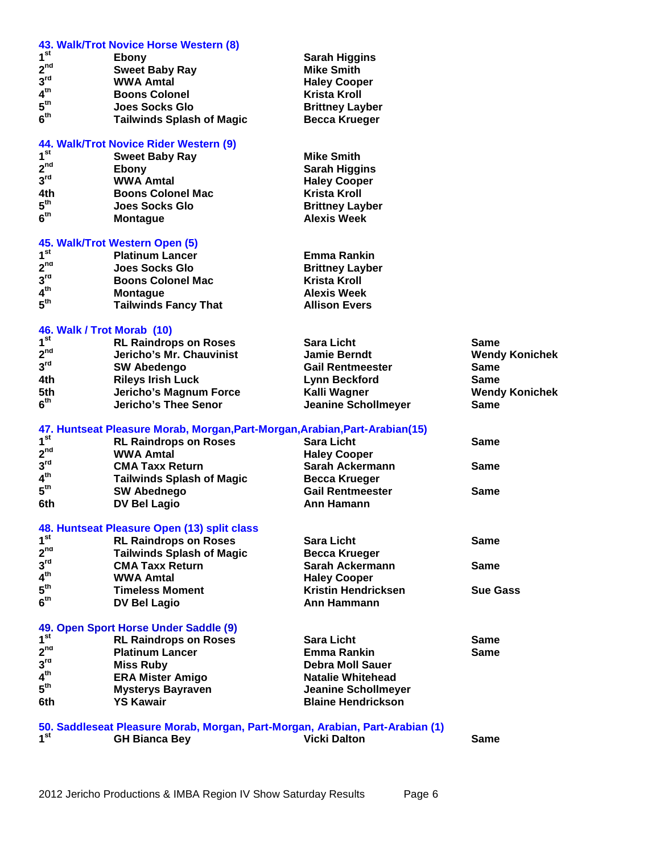|                            | 43. Walk/Trot Novice Horse Western (8)                                        |                                               |                       |
|----------------------------|-------------------------------------------------------------------------------|-----------------------------------------------|-----------------------|
| 1 <sup>st</sup>            | Ebony                                                                         | <b>Sarah Higgins</b>                          |                       |
| $2^{nd}$                   | <b>Sweet Baby Ray</b>                                                         | <b>Mike Smith</b>                             |                       |
| 3 <sup>rd</sup>            | <b>WWA Amtal</b>                                                              | <b>Haley Cooper</b>                           |                       |
| 4 <sup>th</sup>            | <b>Boons Colonel</b>                                                          | <b>Krista Kroll</b>                           |                       |
| 5 <sup>th</sup>            | Joes Socks Glo                                                                | <b>Brittney Layber</b>                        |                       |
| 6 <sup>th</sup>            | <b>Tailwinds Splash of Magic</b>                                              | <b>Becca Krueger</b>                          |                       |
|                            |                                                                               |                                               |                       |
|                            | 44. Walk/Trot Novice Rider Western (9)                                        |                                               |                       |
| 1 <sup>st</sup>            | <b>Sweet Baby Ray</b>                                                         | <b>Mike Smith</b>                             |                       |
| 2 <sup>nd</sup>            | <b>Ebony</b>                                                                  | <b>Sarah Higgins</b>                          |                       |
| 3 <sup>rd</sup>            | <b>WWA Amtal</b>                                                              | <b>Haley Cooper</b>                           |                       |
| 4th                        | <b>Boons Colonel Mac</b>                                                      | <b>Krista Kroll</b>                           |                       |
| 5 <sup>th</sup>            | <b>Joes Socks Glo</b>                                                         | <b>Brittney Layber</b>                        |                       |
| 6 <sup>th</sup>            | <b>Montague</b>                                                               | <b>Alexis Week</b>                            |                       |
|                            |                                                                               |                                               |                       |
|                            | 45. Walk/Trot Western Open (5)                                                |                                               |                       |
| 1 <sup>st</sup>            | <b>Platinum Lancer</b>                                                        | <b>Emma Rankin</b>                            |                       |
| $2^{nd}$                   | <b>Joes Socks Glo</b>                                                         | <b>Brittney Layber</b>                        |                       |
| 3 <sup>rd</sup>            | <b>Boons Colonel Mac</b>                                                      | <b>Krista Kroll</b>                           |                       |
| 4 <sup>th</sup>            | <b>Montague</b>                                                               | <b>Alexis Week</b>                            |                       |
| $5^{\text{th}}$            | <b>Tailwinds Fancy That</b>                                                   | <b>Allison Evers</b>                          |                       |
|                            |                                                                               |                                               |                       |
| 46. Walk / Trot Morab (10) |                                                                               |                                               |                       |
| 1 <sup>st</sup>            | <b>RL Raindrops on Roses</b>                                                  | <b>Sara Licht</b>                             | <b>Same</b>           |
| 2 <sup>nd</sup>            | Jericho's Mr. Chauvinist                                                      | <b>Jamie Berndt</b>                           | <b>Wendy Konichek</b> |
| 3 <sup>rd</sup>            | <b>SW Abedengo</b>                                                            | <b>Gail Rentmeester</b>                       | <b>Same</b>           |
| 4th                        | <b>Rileys Irish Luck</b>                                                      | <b>Lynn Beckford</b>                          | <b>Same</b>           |
| 5th                        | Jericho's Magnum Force                                                        | Kalli Wagner                                  | <b>Wendy Konichek</b> |
| 6 <sup>th</sup>            | <b>Jericho's Thee Senor</b>                                                   | <b>Jeanine Schollmeyer</b>                    | <b>Same</b>           |
|                            |                                                                               |                                               |                       |
|                            | 47. Huntseat Pleasure Morab, Morgan, Part-Morgan, Arabian, Part-Arabian(15)   |                                               |                       |
| 1 <sup>st</sup>            | <b>RL Raindrops on Roses</b>                                                  | <b>Sara Licht</b>                             | <b>Same</b>           |
| 2 <sup>nd</sup>            | <b>WWA Amtal</b>                                                              | <b>Haley Cooper</b>                           |                       |
| 3 <sup>rd</sup>            | <b>CMA Taxx Return</b>                                                        | Sarah Ackermann                               | <b>Same</b>           |
| 4 <sup>th</sup>            | <b>Tailwinds Splash of Magic</b>                                              | <b>Becca Krueger</b>                          |                       |
| $5^{\text{th}}$            | <b>SW Abednego</b>                                                            | <b>Gail Rentmeester</b>                       | Same                  |
| 6th                        | <b>DV Bel Lagio</b>                                                           | Ann Hamann                                    |                       |
|                            |                                                                               |                                               |                       |
| 1 <sup>st</sup>            | 48. Huntseat Pleasure Open (13) split class                                   |                                               |                       |
| $2^{nd}$                   | <b>RL Raindrops on Roses</b>                                                  | <b>Sara Licht</b>                             | <b>Same</b>           |
| 3 <sup>rd</sup>            | <b>Tailwinds Splash of Magic</b>                                              | <b>Becca Krueger</b>                          |                       |
| 4 <sup>th</sup>            | <b>CMA Taxx Return</b>                                                        | Sarah Ackermann                               | <b>Same</b>           |
| 5 <sup>th</sup>            | <b>WWA Amtal</b>                                                              | <b>Haley Cooper</b>                           |                       |
| 6 <sup>th</sup>            | <b>Timeless Moment</b>                                                        | <b>Kristin Hendricksen</b>                    | <b>Sue Gass</b>       |
|                            | <b>DV Bel Lagio</b>                                                           | Ann Hammann                                   |                       |
|                            | 49. Open Sport Horse Under Saddle (9)                                         |                                               |                       |
| 1 <sup>st</sup>            | <b>RL Raindrops on Roses</b>                                                  | <b>Sara Licht</b>                             | <b>Same</b>           |
| $2^{nd}$                   |                                                                               |                                               |                       |
| 3 <sup>rd</sup>            | <b>Platinum Lancer</b>                                                        | <b>Emma Rankin</b><br><b>Debra Moll Sauer</b> | <b>Same</b>           |
| 4 <sup>th</sup>            | <b>Miss Ruby</b>                                                              |                                               |                       |
| $5^{\text{th}}$            | <b>ERA Mister Amigo</b>                                                       | <b>Natalie Whitehead</b>                      |                       |
|                            | <b>Mysterys Bayraven</b>                                                      | <b>Jeanine Schollmeyer</b>                    |                       |
| 6th                        | <b>YS Kawair</b>                                                              | <b>Blaine Hendrickson</b>                     |                       |
|                            | 50. Saddleseat Pleasure Morab, Morgan, Part-Morgan, Arabian, Part-Arabian (1) |                                               |                       |
| 1 <sup>st</sup>            | <b>GH Bianca Bey</b>                                                          | <b>Vicki Dalton</b>                           | <b>Same</b>           |
|                            |                                                                               |                                               |                       |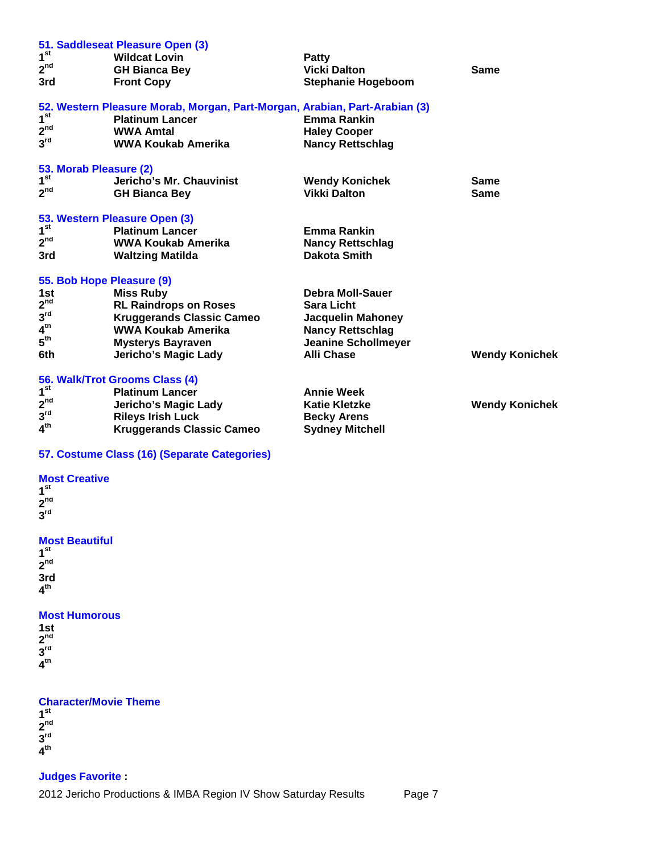|                           | 51. Saddleseat Pleasure Open (3)                                           |                            |                       |
|---------------------------|----------------------------------------------------------------------------|----------------------------|-----------------------|
| 1 <sup>st</sup>           | <b>Wildcat Lovin</b>                                                       | <b>Patty</b>               |                       |
| 2 <sup>nd</sup>           | <b>GH Bianca Bey</b>                                                       | <b>Vicki Dalton</b>        | Same                  |
| 3rd                       | <b>Front Copy</b>                                                          | <b>Stephanie Hogeboom</b>  |                       |
|                           | 52. Western Pleasure Morab, Morgan, Part-Morgan, Arabian, Part-Arabian (3) |                            |                       |
| 1 <sup>st</sup>           | <b>Platinum Lancer</b>                                                     | <b>Emma Rankin</b>         |                       |
| 2 <sup>nd</sup>           | <b>WWA Amtal</b>                                                           | <b>Haley Cooper</b>        |                       |
| $3^{\text{rd}}$           | WWA Koukab Amerika                                                         | <b>Nancy Rettschlag</b>    |                       |
| 53. Morab Pleasure (2)    |                                                                            |                            |                       |
| 1 <sup>st</sup>           | Jericho's Mr. Chauvinist                                                   | <b>Wendy Konichek</b>      | Same                  |
| 2 <sup>nd</sup>           | <b>GH Bianca Bey</b>                                                       | <b>Vikki Dalton</b>        | <b>Same</b>           |
|                           | 53. Western Pleasure Open (3)                                              |                            |                       |
| 1 <sup>st</sup>           | <b>Platinum Lancer</b>                                                     | <b>Emma Rankin</b>         |                       |
| 2 <sup>nd</sup>           | WWA Koukab Amerika                                                         | <b>Nancy Rettschlag</b>    |                       |
| 3rd                       | <b>Waltzing Matilda</b>                                                    | Dakota Smith               |                       |
| 55. Bob Hope Pleasure (9) |                                                                            |                            |                       |
| 1st                       | <b>Miss Ruby</b>                                                           | <b>Debra Moll-Sauer</b>    |                       |
| 2 <sup>nd</sup>           | <b>RL Raindrops on Roses</b>                                               | <b>Sara Licht</b>          |                       |
| $3^{\text{rd}}$           | <b>Kruggerands Classic Cameo</b>                                           | <b>Jacquelin Mahoney</b>   |                       |
| 4 <sup>th</sup>           | <b>WWA Koukab Amerika</b>                                                  | <b>Nancy Rettschlag</b>    |                       |
| $5^{\text{th}}$           | <b>Mysterys Bayraven</b>                                                   | <b>Jeanine Schollmeyer</b> |                       |
| 6th                       | Jericho's Magic Lady                                                       | <b>Alli Chase</b>          | <b>Wendy Konichek</b> |
|                           | 56. Walk/Trot Grooms Class (4)                                             |                            |                       |
| 1 <sup>st</sup>           | <b>Platinum Lancer</b>                                                     | <b>Annie Week</b>          |                       |
| $2^{nd}$                  | <b>Jericho's Magic Lady</b>                                                | <b>Katie Kletzke</b>       | <b>Wendy Konichek</b> |
| 3 <sup>rd</sup>           | <b>Rileys Irish Luck</b>                                                   | <b>Becky Arens</b>         |                       |
| 4 <sup>th</sup>           | <b>Kruggerands Classic Cameo</b>                                           | <b>Sydney Mitchell</b>     |                       |
|                           |                                                                            |                            |                       |

# **57. Costume Class (16) (Separate Categories)**

## **Most Creative 1 st**

**2 nd 3 rd**

# **Most Beautiful**

**1 st 2 nd 3rd 4 th**

## **Most Humorous**

| 1st                        |  |  |
|----------------------------|--|--|
| $2^{\text{nd}}$            |  |  |
| $\mathbf{3}^{\mathsf{rd}}$ |  |  |
| $4^{\text{th}}$            |  |  |
|                            |  |  |

# **Character/Movie Theme**

**1 st 2 nd 3 rd 4 th**

# **Judges Favorite :**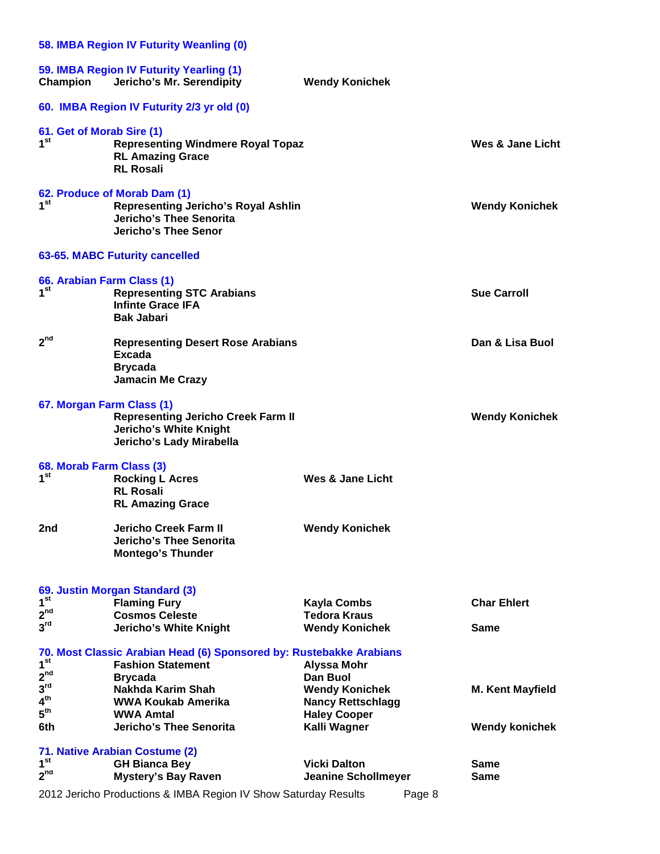|                                                       | 58. IMBA Region IV Futurity Weanling (0)                                                                                                    |                                                                          |                            |
|-------------------------------------------------------|---------------------------------------------------------------------------------------------------------------------------------------------|--------------------------------------------------------------------------|----------------------------|
| Champion                                              | 59. IMBA Region IV Futurity Yearling (1)<br>Jericho's Mr. Serendipity                                                                       | <b>Wendy Konichek</b>                                                    |                            |
|                                                       | 60. IMBA Region IV Futurity 2/3 yr old (0)                                                                                                  |                                                                          |                            |
| 61. Get of Morab Sire (1)<br>1 <sup>st</sup>          | <b>Representing Windmere Royal Topaz</b><br><b>RL Amazing Grace</b><br><b>RL Rosali</b>                                                     |                                                                          | Wes & Jane Licht           |
| 1 <sup>st</sup>                                       | 62. Produce of Morab Dam (1)<br><b>Representing Jericho's Royal Ashlin</b><br><b>Jericho's Thee Senorita</b><br><b>Jericho's Thee Senor</b> |                                                                          | <b>Wendy Konichek</b>      |
|                                                       | 63-65. MABC Futurity cancelled                                                                                                              |                                                                          |                            |
| 66. Arabian Farm Class (1)<br>1 <sup>st</sup>         | <b>Representing STC Arabians</b><br><b>Infinte Grace IFA</b><br><b>Bak Jabari</b>                                                           |                                                                          | <b>Sue Carroll</b>         |
| 2 <sup>nd</sup>                                       | <b>Representing Desert Rose Arabians</b><br><b>Excada</b><br><b>Brycada</b><br><b>Jamacin Me Crazy</b>                                      |                                                                          | Dan & Lisa Buol            |
| 67. Morgan Farm Class (1)                             | <b>Representing Jericho Creek Farm II</b><br><b>Jericho's White Knight</b><br>Jericho's Lady Mirabella                                      |                                                                          | <b>Wendy Konichek</b>      |
| 68. Morab Farm Class (3)<br>1 <sup>st</sup>           | <b>Rocking L Acres</b><br><b>RL Rosali</b><br><b>RL Amazing Grace</b>                                                                       | Wes & Jane Licht                                                         |                            |
| 2nd                                                   | <b>Jericho Creek Farm II</b><br>Jericho's Thee Senorita<br><b>Montego's Thunder</b>                                                         | <b>Wendy Konichek</b>                                                    |                            |
| 1 <sup>st</sup><br>2 <sup>nd</sup>                    | 69. Justin Morgan Standard (3)<br><b>Flaming Fury</b><br><b>Cosmos Celeste</b>                                                              | <b>Kayla Combs</b><br><b>Tedora Kraus</b>                                | <b>Char Ehlert</b>         |
| 3 <sup>rd</sup>                                       | Jericho's White Knight                                                                                                                      | <b>Wendy Konichek</b>                                                    | <b>Same</b>                |
| 1 <sup>st</sup><br>2 <sup>nd</sup>                    | 70. Most Classic Arabian Head (6) Sponsored by: Rustebakke Arabians<br><b>Fashion Statement</b><br><b>Brycada</b>                           | Alyssa Mohr<br>Dan Buol                                                  |                            |
| $3^{\text{rd}}$<br>4 <sup>th</sup><br>$5^{\text{th}}$ | Nakhda Karim Shah<br><b>WWA Koukab Amerika</b><br><b>WWA Amtal</b>                                                                          | <b>Wendy Konichek</b><br><b>Nancy Rettschlagg</b><br><b>Haley Cooper</b> | <b>M. Kent Mayfield</b>    |
| 6th                                                   | Jericho's Thee Senorita                                                                                                                     | Kalli Wagner                                                             | <b>Wendy konichek</b>      |
| 1 <sup>st</sup>                                       | 71. Native Arabian Costume (2)                                                                                                              |                                                                          |                            |
| 2 <sup>nd</sup>                                       | <b>GH Bianca Bey</b><br><b>Mystery's Bay Raven</b>                                                                                          | <b>Vicki Dalton</b><br><b>Jeanine Schollmeyer</b>                        | <b>Same</b><br><b>Same</b> |
|                                                       | 2012 Jericho Productions & IMBA Region IV Show Saturday Results                                                                             | Page 8                                                                   |                            |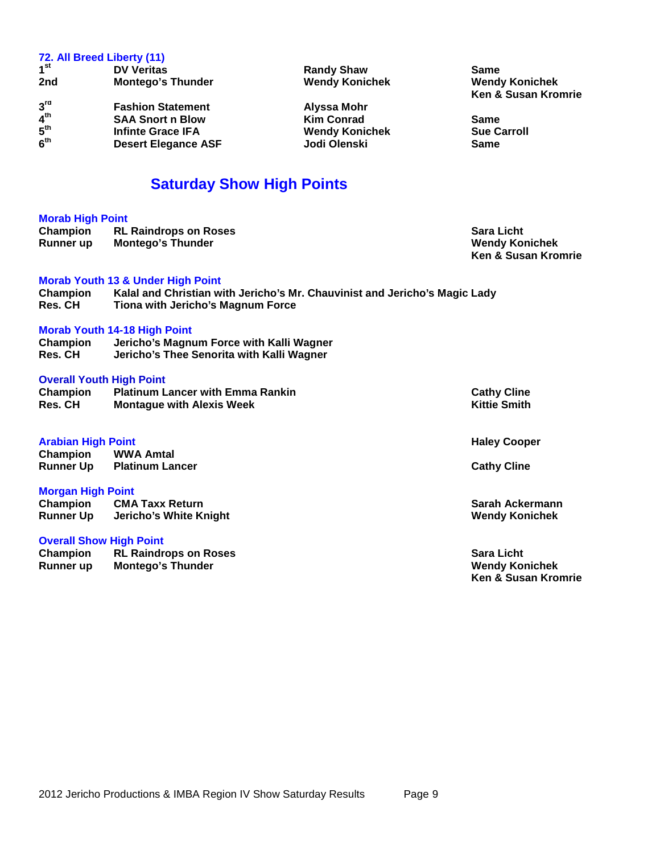# **72. All Breed Liberty (11) 1 st DV Veritas Randy Shaw Same 2nd Montego's Thunder Wendy Konichek Wendy Konichek Ken & Susan Kromrie 3 Fashion Statement**<br> **SAA Snort n Blow**<br> **Alyssa Mohr**<br> **Alyssa Mohr**<br> **Alyssa Mohr**  $\frac{5}{4}$ <sup>th</sup> **the SAA Snort n Blow Conrad Kim Conrad Conrad Same Same Supervisor Supervisor Contrad Supervisor Contrad Supervisor Contrad Supervisor Contrad Supervisor Contrad Supervisor Contrade Contrade Contrade 5 The Wendy Konichek Carrolling Sue Carrolling Gramm**<br> **Infinte Graph**<br> **Infinte Same 6 Desert Elegance ASF Saturday Show High Points Morab High Point Champion RL Raindrops on Roses Sara Licht Sara Licht Sara Licht Runner** up **Montego's Thunder Sara Licht Wendy Konichek**

|                            |                                                                                                                 | <b>Ken &amp; Susan Kromrie</b> |
|----------------------------|-----------------------------------------------------------------------------------------------------------------|--------------------------------|
|                            | <b>Morab Youth 13 &amp; Under High Point</b>                                                                    |                                |
| Champion<br><b>Res. CH</b> | Kalal and Christian with Jericho's Mr. Chauvinist and Jericho's Magic Lady<br>Tiona with Jericho's Magnum Force |                                |
|                            |                                                                                                                 |                                |
|                            | <b>Morab Youth 14-18 High Point</b>                                                                             |                                |
| Champion                   | Jericho's Magnum Force with Kalli Wagner                                                                        |                                |
| <b>Res. CH</b>             | Jericho's Thee Senorita with Kalli Wagner                                                                       |                                |
|                            | <b>Overall Youth High Point</b>                                                                                 |                                |
| Champion                   | <b>Platinum Lancer with Emma Rankin</b>                                                                         | <b>Cathy Cline</b>             |
| <b>Res. CH</b>             | <b>Montague with Alexis Week</b>                                                                                | <b>Kittie Smith</b>            |
| <b>Arabian High Point</b>  |                                                                                                                 | <b>Haley Cooper</b>            |
| Champion                   | <b>WWA Amtal</b>                                                                                                |                                |
|                            | <b>Runner Up Platinum Lancer</b>                                                                                | <b>Cathy Cline</b>             |
| <b>Morgan High Point</b>   |                                                                                                                 |                                |
|                            | <b>Champion CMA Taxx Return</b>                                                                                 | Sarah Ackermann                |
| <b>Runner Up</b>           | Jericho's White Knight                                                                                          | <b>Wendy Konichek</b>          |
|                            | <b>Overall Show High Point</b>                                                                                  |                                |
| Champion                   | <b>RL Raindrops on Roses</b>                                                                                    | <b>Sara Licht</b>              |

**Montego's Thunder** 

**Montego's Thunder** 

# **Champion RL Raindrops on Roses Sara Licht Ken & Susan Kromrie**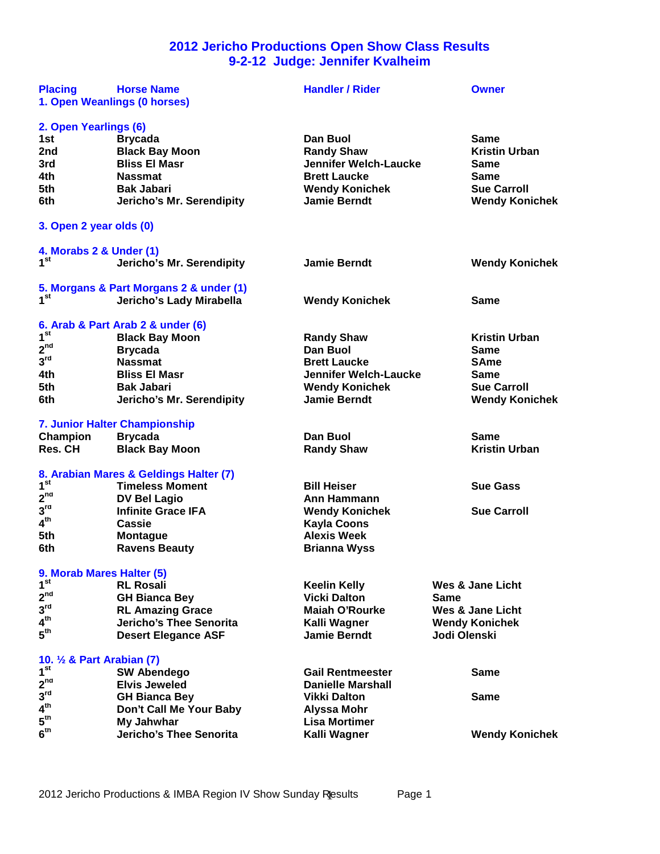# **2012 Jericho Productions Open Show Class Results 9-2-12 Judge: Jennifer Kvalheim**

| <b>Placing</b>                                | <b>Horse Name</b><br>1. Open Weanlings (0 horses)     | <b>Handler / Rider</b>                     |              | <b>Owner</b>          |
|-----------------------------------------------|-------------------------------------------------------|--------------------------------------------|--------------|-----------------------|
| 2. Open Yearlings (6)                         |                                                       |                                            |              |                       |
| 1st                                           | <b>Brycada</b>                                        | Dan Buol                                   |              | <b>Same</b>           |
| 2nd                                           | <b>Black Bay Moon</b>                                 | <b>Randy Shaw</b>                          |              | <b>Kristin Urban</b>  |
| 3rd                                           | <b>Bliss El Masr</b>                                  | <b>Jennifer Welch-Laucke</b>               |              | Same                  |
| 4th                                           | <b>Nassmat</b>                                        | <b>Brett Laucke</b>                        |              | Same                  |
| 5th                                           | <b>Bak Jabari</b>                                     | <b>Wendy Konichek</b>                      |              | <b>Sue Carroll</b>    |
| 6th                                           | Jericho's Mr. Serendipity                             | <b>Jamie Berndt</b>                        |              | <b>Wendy Konichek</b> |
| 3. Open 2 year olds (0)                       |                                                       |                                            |              |                       |
| 4. Morabs 2 & Under (1)                       |                                                       |                                            |              |                       |
| 1 <sup>st</sup>                               | Jericho's Mr. Serendipity                             | <b>Jamie Berndt</b>                        |              | <b>Wendy Konichek</b> |
|                                               | 5. Morgans & Part Morgans 2 & under (1)               |                                            |              |                       |
| 1 <sup>st</sup>                               | Jericho's Lady Mirabella                              | <b>Wendy Konichek</b>                      |              | Same                  |
|                                               | 6. Arab & Part Arab 2 & under (6)                     |                                            |              |                       |
| 1 <sup>st</sup>                               | <b>Black Bay Moon</b>                                 | <b>Randy Shaw</b>                          |              | <b>Kristin Urban</b>  |
| $2^{nd}$                                      | <b>Brycada</b>                                        | Dan Buol                                   |              | <b>Same</b>           |
| 3 <sup>rd</sup>                               | <b>Nassmat</b>                                        | <b>Brett Laucke</b>                        |              | <b>SAme</b>           |
| 4th                                           | <b>Bliss El Masr</b>                                  | <b>Jennifer Welch-Laucke</b>               |              | <b>Same</b>           |
| 5th                                           | <b>Bak Jabari</b>                                     | <b>Wendy Konichek</b>                      |              | <b>Sue Carroll</b>    |
| 6th                                           | Jericho's Mr. Serendipity                             | <b>Jamie Berndt</b>                        |              | <b>Wendy Konichek</b> |
|                                               | 7. Junior Halter Championship                         |                                            |              |                       |
| Champion                                      | <b>Brycada</b>                                        | Dan Buol                                   |              | <b>Same</b>           |
| Res. CH                                       | <b>Black Bay Moon</b>                                 | <b>Randy Shaw</b>                          |              | <b>Kristin Urban</b>  |
|                                               |                                                       |                                            |              |                       |
|                                               | 8. Arabian Mares & Geldings Halter (7)                |                                            |              |                       |
| 1 <sup>st</sup>                               | <b>Timeless Moment</b>                                | <b>Bill Heiser</b>                         |              | <b>Sue Gass</b>       |
| $2^{nd}$                                      |                                                       | Ann Hammann                                |              |                       |
| 3 <sup>rd</sup>                               | <b>DV Bel Lagio</b><br><b>Infinite Grace IFA</b>      |                                            |              | <b>Sue Carroll</b>    |
| 4 <sup>th</sup>                               | <b>Cassie</b>                                         | <b>Wendy Konichek</b>                      |              |                       |
| 5th                                           |                                                       | <b>Kayla Coons</b><br><b>Alexis Week</b>   |              |                       |
| 6th                                           | <b>Montague</b><br><b>Ravens Beauty</b>               | <b>Brianna Wyss</b>                        |              |                       |
|                                               |                                                       |                                            |              |                       |
| 9. Morab Mares Halter (5)<br>1 <sup>st</sup>  | <b>RL Rosali</b>                                      |                                            |              | Wes & Jane Licht      |
| 2 <sup>nd</sup>                               |                                                       | <b>Keelin Kelly</b><br><b>Vicki Dalton</b> | <b>Same</b>  |                       |
| 3 <sup>rd</sup>                               | <b>GH Bianca Bey</b>                                  | <b>Maiah O'Rourke</b>                      |              |                       |
| 4 <sup>th</sup>                               | <b>RL Amazing Grace</b>                               |                                            |              | Wes & Jane Licht      |
| $5^{\text{th}}$                               | Jericho's Thee Senorita<br><b>Desert Elegance ASF</b> | Kalli Wagner<br><b>Jamie Berndt</b>        | Jodi Olenski | <b>Wendy Konichek</b> |
|                                               |                                                       |                                            |              |                       |
| 10. 1/2 & Part Arabian (7)<br>1 <sup>st</sup> |                                                       | <b>Gail Rentmeester</b>                    |              | <b>Same</b>           |
|                                               | <b>SW Abendego</b>                                    | <b>Danielle Marshall</b>                   |              |                       |
| 2 <sup>nd</sup><br>3 <sup>rd</sup>            | <b>Elvis Jeweled</b>                                  | <b>Vikki Dalton</b>                        |              | <b>Same</b>           |
| 4 <sup>th</sup>                               | <b>GH Bianca Bey</b>                                  |                                            |              |                       |
| $5^{\text{th}}$                               | Don't Call Me Your Baby<br>My Jahwhar                 | <b>Alyssa Mohr</b><br><b>Lisa Mortimer</b> |              |                       |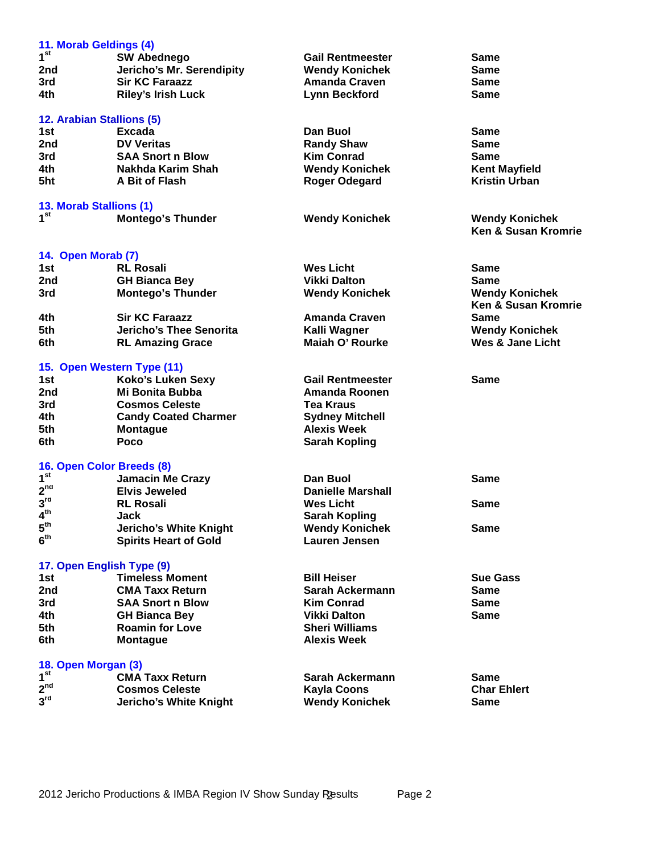| 11. Morab Geldings (4)                       |                                                 |                                               |                                |
|----------------------------------------------|-------------------------------------------------|-----------------------------------------------|--------------------------------|
| 1 <sup>st</sup>                              | <b>SW Abednego</b>                              | <b>Gail Rentmeester</b>                       | Same                           |
| 2nd                                          | Jericho's Mr. Serendipity                       | <b>Wendy Konichek</b>                         | Same                           |
| 3rd                                          | <b>Sir KC Faraazz</b>                           | <b>Amanda Craven</b>                          | Same                           |
| 4th                                          | <b>Riley's Irish Luck</b>                       | <b>Lynn Beckford</b>                          | Same                           |
|                                              |                                                 |                                               |                                |
| 12. Arabian Stallions (5)                    |                                                 |                                               |                                |
| 1st                                          | <b>Excada</b>                                   | Dan Buol                                      | Same                           |
| 2nd                                          | <b>DV Veritas</b>                               | <b>Randy Shaw</b>                             | <b>Same</b>                    |
| 3rd                                          | <b>SAA Snort n Blow</b>                         | <b>Kim Conrad</b>                             | <b>Same</b>                    |
| 4th                                          | Nakhda Karim Shah                               | <b>Wendy Konichek</b>                         | <b>Kent Mayfield</b>           |
| 5ht                                          | A Bit of Flash                                  | <b>Roger Odegard</b>                          | <b>Kristin Urban</b>           |
| 13. Morab Stallions (1)                      |                                                 |                                               |                                |
| 1 <sup>st</sup>                              | <b>Montego's Thunder</b>                        | <b>Wendy Konichek</b>                         | <b>Wendy Konichek</b>          |
|                                              |                                                 |                                               | <b>Ken &amp; Susan Kromrie</b> |
|                                              |                                                 |                                               |                                |
| 14. Open Morab (7)                           |                                                 |                                               |                                |
| 1st                                          | <b>RL Rosali</b>                                | <b>Wes Licht</b>                              | Same                           |
| 2nd                                          | <b>GH Bianca Bey</b>                            | <b>Vikki Dalton</b>                           | <b>Same</b>                    |
| 3rd                                          | <b>Montego's Thunder</b>                        | <b>Wendy Konichek</b>                         | <b>Wendy Konichek</b>          |
|                                              |                                                 |                                               | <b>Ken &amp; Susan Kromrie</b> |
| 4th                                          | <b>Sir KC Faraazz</b>                           | <b>Amanda Craven</b>                          | <b>Same</b>                    |
| 5th                                          | <b>Jericho's Thee Senorita</b>                  | Kalli Wagner                                  | <b>Wendy Konichek</b>          |
| 6th                                          | <b>RL Amazing Grace</b>                         | Maiah O' Rourke                               | <b>Wes &amp; Jane Licht</b>    |
| 15. Open Western Type (11)                   |                                                 |                                               |                                |
| 1st                                          | <b>Koko's Luken Sexy</b>                        | <b>Gail Rentmeester</b>                       | <b>Same</b>                    |
| 2nd                                          | Mi Bonita Bubba                                 | <b>Amanda Roonen</b>                          |                                |
| 3rd                                          | <b>Cosmos Celeste</b>                           | <b>Tea Kraus</b>                              |                                |
| 4th                                          | <b>Candy Coated Charmer</b>                     | <b>Sydney Mitchell</b>                        |                                |
| 5th                                          | <b>Montague</b>                                 | <b>Alexis Week</b>                            |                                |
| 6th                                          | Poco                                            | <b>Sarah Kopling</b>                          |                                |
|                                              |                                                 |                                               |                                |
| 16. Open Color Breeds (8)<br>1 <sup>st</sup> |                                                 |                                               |                                |
| 2 <sup>nd</sup>                              | <b>Jamacin Me Crazy</b>                         | Dan Buol                                      | Same                           |
| 3 <sup>rd</sup>                              | <b>Elvis Jeweled</b>                            | <b>Danielle Marshall</b>                      |                                |
| $\mathbf{4}^{\text{th}}$                     | <b>RL Rosali</b><br>Jack                        | <b>Wes Licht</b>                              | Same                           |
| $5^{\text{th}}$                              |                                                 | <b>Sarah Kopling</b>                          |                                |
| 6 <sup>th</sup>                              | <b>Jericho's White Knight</b>                   | <b>Wendy Konichek</b><br><b>Lauren Jensen</b> | <b>Same</b>                    |
|                                              | <b>Spirits Heart of Gold</b>                    |                                               |                                |
| 17. Open English Type (9)                    |                                                 |                                               |                                |
| 1st                                          | <b>Timeless Moment</b>                          | <b>Bill Heiser</b>                            | <b>Sue Gass</b>                |
| 2nd                                          | <b>CMA Taxx Return</b>                          | Sarah Ackermann                               | <b>Same</b>                    |
| 3rd                                          | <b>SAA Snort n Blow</b>                         | <b>Kim Conrad</b>                             | <b>Same</b>                    |
| 4th                                          | <b>GH Bianca Bey</b>                            | <b>Vikki Dalton</b>                           | <b>Same</b>                    |
| 5th                                          | <b>Roamin for Love</b>                          | <b>Sheri Williams</b>                         |                                |
| 6th                                          | <b>Montague</b>                                 | <b>Alexis Week</b>                            |                                |
|                                              |                                                 |                                               |                                |
| 18. Open Morgan (3)<br>1 <sup>st</sup>       |                                                 |                                               |                                |
| 2 <sup>nd</sup>                              | <b>CMA Taxx Return</b><br><b>Cosmos Celeste</b> | Sarah Ackermann                               | Same<br><b>Char Ehlert</b>     |
| 3 <sup>rd</sup>                              |                                                 | <b>Kayla Coons</b>                            |                                |
|                                              | Jericho's White Knight                          | <b>Wendy Konichek</b>                         | Same                           |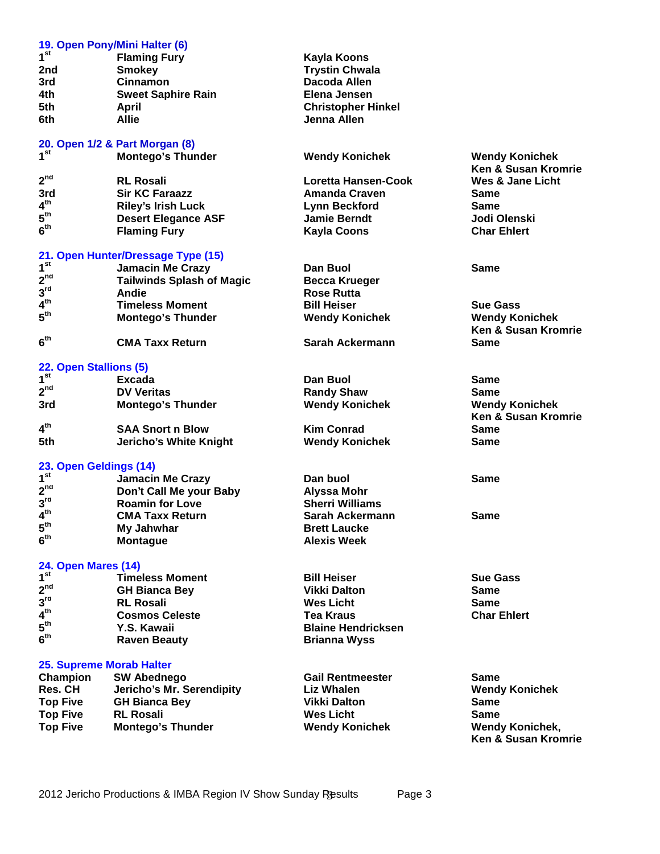|                            | 19. Open Pony/Mini Halter (6)      |                            |                                |
|----------------------------|------------------------------------|----------------------------|--------------------------------|
| 1 <sup>st</sup>            | <b>Flaming Fury</b>                | Kayla Koons                |                                |
| 2nd                        | <b>Smokey</b>                      | <b>Trystin Chwala</b>      |                                |
| 3rd                        | <b>Cinnamon</b>                    | Dacoda Allen               |                                |
| 4th                        | <b>Sweet Saphire Rain</b>          | Elena Jensen               |                                |
| 5th                        | April                              | <b>Christopher Hinkel</b>  |                                |
| 6th                        | <b>Allie</b>                       | Jenna Allen                |                                |
|                            |                                    |                            |                                |
|                            | 20. Open 1/2 & Part Morgan (8)     |                            |                                |
| 1 <sup>st</sup>            | <b>Montego's Thunder</b>           | <b>Wendy Konichek</b>      | <b>Wendy Konichek</b>          |
|                            |                                    |                            | <b>Ken &amp; Susan Kromrie</b> |
| 2 <sup>nd</sup>            | <b>RL Rosali</b>                   | <b>Loretta Hansen-Cook</b> | <b>Wes &amp; Jane Licht</b>    |
| 3rd                        | <b>Sir KC Faraazz</b>              | <b>Amanda Craven</b>       | <b>Same</b>                    |
| 4 <sup>th</sup>            | <b>Riley's Irish Luck</b>          | <b>Lynn Beckford</b>       | <b>Same</b>                    |
| $5^{\text{th}}$            | <b>Desert Elegance ASF</b>         | <b>Jamie Berndt</b>        | Jodi Olenski                   |
| 6 <sup>th</sup>            | <b>Flaming Fury</b>                | <b>Kayla Coons</b>         | <b>Char Ehlert</b>             |
|                            |                                    |                            |                                |
| 1 <sup>st</sup>            | 21. Open Hunter/Dressage Type (15) |                            |                                |
| 2 <sup>nd</sup>            | <b>Jamacin Me Crazy</b>            | Dan Buol                   | <b>Same</b>                    |
|                            | <b>Tailwinds Splash of Magic</b>   | <b>Becca Krueger</b>       |                                |
| 3 <sup>rd</sup>            | Andie                              | <b>Rose Rutta</b>          |                                |
| 4 <sup>th</sup>            | <b>Timeless Moment</b>             | <b>Bill Heiser</b>         | <b>Sue Gass</b>                |
| 5 <sup>th</sup>            | <b>Montego's Thunder</b>           | <b>Wendy Konichek</b>      | <b>Wendy Konichek</b>          |
|                            |                                    |                            | <b>Ken &amp; Susan Kromrie</b> |
| 6 <sup>th</sup>            | <b>CMA Taxx Return</b>             | Sarah Ackermann            | Same                           |
| 22. Open Stallions (5)     |                                    |                            |                                |
| 1 <sup>st</sup>            | Excada                             | Dan Buol                   | Same                           |
| $2^{nd}$                   |                                    |                            |                                |
|                            | <b>DV Veritas</b>                  | <b>Randy Shaw</b>          | Same                           |
| 3rd                        | <b>Montego's Thunder</b>           | <b>Wendy Konichek</b>      | <b>Wendy Konichek</b>          |
| 4 <sup>th</sup>            |                                    |                            | <b>Ken &amp; Susan Kromrie</b> |
|                            | <b>SAA Snort n Blow</b>            | <b>Kim Conrad</b>          | Same                           |
| 5th                        | <b>Jericho's White Knight</b>      | <b>Wendy Konichek</b>      | Same                           |
| 23. Open Geldings (14)     |                                    |                            |                                |
| 1 <sup>st</sup>            | <b>Jamacin Me Crazy</b>            | Dan buol                   | Same                           |
| 2 <sup>nd</sup>            | Don't Call Me your Baby            | Alyssa Mohr                |                                |
| $3^{\text{rd}}$            | <b>Roamin for Love</b>             | <b>Sherri Williams</b>     |                                |
| $4^{\text{th}}$            | <b>CMA Taxx Return</b>             | Sarah Ackermann            | Same                           |
| $5^{\text{th}}$            | My Jahwhar                         | <b>Brett Laucke</b>        |                                |
| 6 <sup>th</sup>            | <b>Montague</b>                    | <b>Alexis Week</b>         |                                |
|                            |                                    |                            |                                |
| <b>24. Open Mares (14)</b> |                                    |                            |                                |
| 1 <sup>st</sup>            | <b>Timeless Moment</b>             | <b>Bill Heiser</b>         | <b>Sue Gass</b>                |
| $2^{nd}$                   | <b>GH Bianca Bey</b>               | <b>Vikki Dalton</b>        | <b>Same</b>                    |
| 3 <sup>rd</sup>            | <b>RL Rosali</b>                   | <b>Wes Licht</b>           | <b>Same</b>                    |
| 4 <sup>th</sup>            | <b>Cosmos Celeste</b>              | <b>Tea Kraus</b>           | <b>Char Ehlert</b>             |
| $5^{\text{th}}$            | Y.S. Kawaii                        | <b>Blaine Hendricksen</b>  |                                |
| 6 <sup>th</sup>            | <b>Raven Beauty</b>                | <b>Brianna Wyss</b>        |                                |
|                            |                                    |                            |                                |
| 25. Supreme Morab Halter   |                                    |                            |                                |
| Champion                   | <b>SW Abednego</b>                 | <b>Gail Rentmeester</b>    | <b>Same</b>                    |
| <b>Res. CH</b>             | Jericho's Mr. Serendipity          | <b>Liz Whalen</b>          | <b>Wendy Konichek</b>          |
| <b>Top Five</b>            | <b>GH Bianca Bey</b>               | <b>Vikki Dalton</b>        | <b>Same</b>                    |
| <b>Top Five</b>            | <b>RL Rosali</b>                   | <b>Wes Licht</b>           | <b>Same</b>                    |
| <b>Top Five</b>            | <b>Montego's Thunder</b>           | <b>Wendy Konichek</b>      | <b>Wendy Konichek,</b>         |
|                            |                                    |                            | Ken & Susan Kromrie            |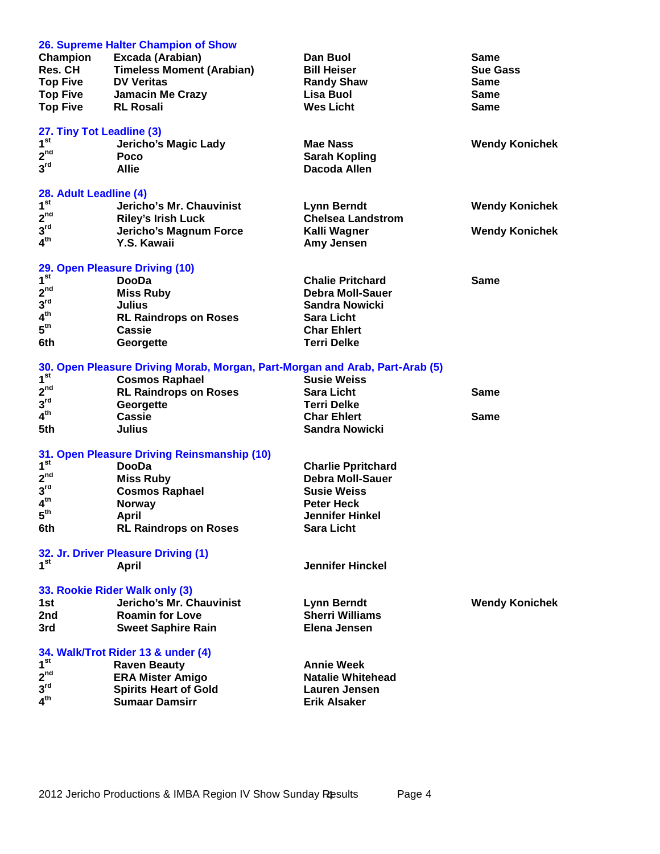| Champion<br><b>Res. CH</b><br><b>Top Five</b><br><b>Top Five</b><br><b>Top Five</b>                | 26. Supreme Halter Champion of Show<br>Excada (Arabian)<br><b>Timeless Moment (Arabian)</b><br><b>DV Veritas</b><br>Jamacin Me Crazy<br><b>RL Rosali</b>                      | Dan Buol<br><b>Bill Heiser</b><br><b>Randy Shaw</b><br>Lisa Buol<br><b>Wes Licht</b>                                                         | Same<br><b>Sue Gass</b><br><b>Same</b><br><b>Same</b><br><b>Same</b> |
|----------------------------------------------------------------------------------------------------|-------------------------------------------------------------------------------------------------------------------------------------------------------------------------------|----------------------------------------------------------------------------------------------------------------------------------------------|----------------------------------------------------------------------|
| 27. Tiny Tot Leadline (3)<br>1 <sup>st</sup><br>2 <sup>nd</sup><br>3 <sup>rd</sup>                 | Jericho's Magic Lady<br>Poco<br>Allie                                                                                                                                         | <b>Mae Nass</b><br><b>Sarah Kopling</b><br>Dacoda Allen                                                                                      | <b>Wendy Konichek</b>                                                |
| 28. Adult Leadline (4)<br>1 <sup>st</sup><br>2 <sup>nd</sup><br>3 <sup>rd</sup><br>4 <sup>th</sup> | Jericho's Mr. Chauvinist<br><b>Riley's Irish Luck</b><br>Jericho's Magnum Force<br>Y.S. Kawaii                                                                                | <b>Lynn Berndt</b><br><b>Chelsea Landstrom</b><br>Kalli Wagner<br>Amy Jensen                                                                 | <b>Wendy Konichek</b><br><b>Wendy Konichek</b>                       |
| 1 <sup>st</sup><br>2 <sup>nd</sup><br>3 <sup>rd</sup><br>4 <sup>th</sup><br>5 <sup>th</sup><br>6th | 29. Open Pleasure Driving (10)<br><b>DooDa</b><br><b>Miss Ruby</b><br><b>Julius</b><br><b>RL Raindrops on Roses</b><br>Cassie<br>Georgette                                    | <b>Chalie Pritchard</b><br><b>Debra Moll-Sauer</b><br><b>Sandra Nowicki</b><br><b>Sara Licht</b><br><b>Char Ehlert</b><br><b>Terri Delke</b> | <b>Same</b>                                                          |
| 1 <sup>st</sup><br>$2^{nd}$<br>3 <sup>rd</sup><br>4 <sup>th</sup><br>5th                           | 30. Open Pleasure Driving Morab, Morgan, Part-Morgan and Arab, Part-Arab (5)<br><b>Cosmos Raphael</b><br><b>RL Raindrops on Roses</b><br>Georgette<br>Cassie<br><b>Julius</b> | <b>Susie Weiss</b><br><b>Sara Licht</b><br><b>Terri Delke</b><br><b>Char Ehlert</b><br><b>Sandra Nowicki</b>                                 | <b>Same</b><br><b>Same</b>                                           |
| 1 <sup>st</sup><br>2 <sup>nd</sup><br>3 <sup>rd</sup><br>4 <sup>th</sup><br>5 <sup>th</sup><br>6th | 31. Open Pleasure Driving Reinsmanship (10)<br><b>DooDa</b><br><b>Miss Ruby</b><br><b>Cosmos Raphael</b><br><b>Norway</b><br><b>April</b><br><b>RL Raindrops on Roses</b>     | <b>Charlie Ppritchard</b><br><b>Debra Moll-Sauer</b><br><b>Susie Weiss</b><br><b>Peter Heck</b><br>Jennifer Hinkel<br><b>Sara Licht</b>      |                                                                      |
| 1 <sup>st</sup>                                                                                    | 32. Jr. Driver Pleasure Driving (1)<br><b>April</b>                                                                                                                           | <b>Jennifer Hinckel</b>                                                                                                                      |                                                                      |
| 1st<br>2nd<br>3rd                                                                                  | 33. Rookie Rider Walk only (3)<br>Jericho's Mr. Chauvinist<br><b>Roamin for Love</b><br><b>Sweet Saphire Rain</b>                                                             | <b>Lynn Berndt</b><br><b>Sherri Williams</b><br>Elena Jensen                                                                                 | <b>Wendy Konichek</b>                                                |
| 1 <sup>st</sup><br>2 <sup>nd</sup><br>3 <sup>rd</sup><br>4 <sup>th</sup>                           | 34. Walk/Trot Rider 13 & under (4)<br><b>Raven Beauty</b><br><b>ERA Mister Amigo</b><br><b>Spirits Heart of Gold</b><br><b>Sumaar Damsirr</b>                                 | <b>Annie Week</b><br><b>Natalie Whitehead</b><br><b>Lauren Jensen</b><br><b>Erik Alsaker</b>                                                 |                                                                      |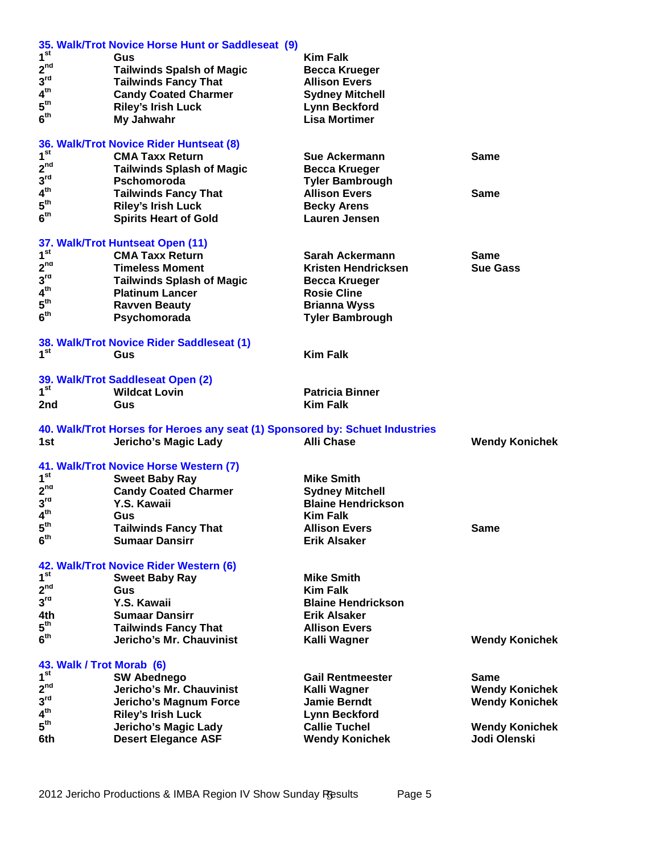|                                    | 35. Walk/Trot Novice Horse Hunt or Saddleseat (9)                            |                                              |                       |
|------------------------------------|------------------------------------------------------------------------------|----------------------------------------------|-----------------------|
| 1 <sup>st</sup>                    | Gus                                                                          | <b>Kim Falk</b>                              |                       |
| $2^{nd}$                           | <b>Tailwinds Spalsh of Magic</b>                                             | <b>Becca Krueger</b>                         |                       |
| 3 <sup>rd</sup>                    | <b>Tailwinds Fancy That</b>                                                  | <b>Allison Evers</b>                         |                       |
| $\boldsymbol{4}^{\text{th}}$       | <b>Candy Coated Charmer</b>                                                  | <b>Sydney Mitchell</b>                       |                       |
| $5^{\text{th}}$                    | <b>Riley's Irish Luck</b>                                                    | <b>Lynn Beckford</b>                         |                       |
| 6 <sup>th</sup>                    | My Jahwahr                                                                   | <b>Lisa Mortimer</b>                         |                       |
|                                    |                                                                              |                                              |                       |
|                                    | 36. Walk/Trot Novice Rider Huntseat (8)                                      |                                              |                       |
| 1 <sup>st</sup>                    | <b>CMA Taxx Return</b>                                                       | <b>Sue Ackermann</b>                         | <b>Same</b>           |
| 2 <sup>nd</sup>                    | <b>Tailwinds Splash of Magic</b>                                             | <b>Becca Krueger</b>                         |                       |
| 3 <sup>rd</sup>                    | <b>Pschomoroda</b>                                                           | <b>Tyler Bambrough</b>                       |                       |
| 4 <sup>th</sup>                    | <b>Tailwinds Fancy That</b>                                                  | <b>Allison Evers</b>                         | <b>Same</b>           |
| $5^{\text{th}}$                    | <b>Riley's Irish Luck</b>                                                    | <b>Becky Arens</b>                           |                       |
| 6 <sup>th</sup>                    | <b>Spirits Heart of Gold</b>                                                 | <b>Lauren Jensen</b>                         |                       |
|                                    |                                                                              |                                              |                       |
|                                    | 37. Walk/Trot Huntseat Open (11)                                             |                                              |                       |
| 1 <sup>st</sup>                    | <b>CMA Taxx Return</b>                                                       | Sarah Ackermann                              | Same                  |
| 2 <sup>nd</sup>                    | <b>Timeless Moment</b>                                                       | Kristen Hendricksen                          | <b>Sue Gass</b>       |
| 3 <sup>rd</sup>                    | <b>Tailwinds Splash of Magic</b>                                             | <b>Becca Krueger</b>                         |                       |
| 4 <sup>th</sup>                    | <b>Platinum Lancer</b>                                                       | <b>Rosie Cline</b>                           |                       |
| $5^{\sf th}$                       | <b>Ravven Beauty</b>                                                         | <b>Brianna Wyss</b>                          |                       |
| 6 <sup>th</sup>                    | Psychomorada                                                                 | <b>Tyler Bambrough</b>                       |                       |
|                                    |                                                                              |                                              |                       |
|                                    | 38. Walk/Trot Novice Rider Saddleseat (1)                                    |                                              |                       |
| 1 <sup>st</sup>                    | Gus                                                                          | <b>Kim Falk</b>                              |                       |
|                                    |                                                                              |                                              |                       |
|                                    | 39. Walk/Trot Saddleseat Open (2)                                            |                                              |                       |
|                                    |                                                                              |                                              |                       |
| 1 <sup>st</sup>                    | <b>Wildcat Lovin</b>                                                         | <b>Patricia Binner</b>                       |                       |
| 2nd                                | Gus                                                                          | <b>Kim Falk</b>                              |                       |
|                                    |                                                                              |                                              |                       |
|                                    | 40. Walk/Trot Horses for Heroes any seat (1) Sponsored by: Schuet Industries |                                              |                       |
| 1st                                | Jericho's Magic Lady                                                         | <b>Alli Chase</b>                            | <b>Wendy Konichek</b> |
|                                    |                                                                              |                                              |                       |
| 1 <sup>st</sup>                    | 41. Walk/Trot Novice Horse Western (7)                                       | <b>Mike Smith</b>                            |                       |
| 2 <sup>nd</sup>                    | <b>Sweet Baby Ray</b>                                                        |                                              |                       |
| 3 <sup>rd</sup>                    | <b>Candy Coated Charmer</b>                                                  | <b>Sydney Mitchell</b>                       |                       |
| 4 <sup>th</sup>                    | Y.S. Kawaii                                                                  | <b>Blaine Hendrickson</b><br><b>Kim Falk</b> |                       |
|                                    | Gus                                                                          |                                              |                       |
| $5^{\text{th}}$<br>6 <sup>th</sup> | <b>Tailwinds Fancy That</b><br><b>Sumaar Dansirr</b>                         | <b>Allison Evers</b><br><b>Erik Alsaker</b>  | <b>Same</b>           |
|                                    |                                                                              |                                              |                       |
|                                    | 42. Walk/Trot Novice Rider Western (6)                                       |                                              |                       |
| 1 <sup>st</sup>                    | <b>Sweet Baby Ray</b>                                                        | <b>Mike Smith</b>                            |                       |
| 2 <sup>nd</sup>                    | Gus                                                                          | <b>Kim Falk</b>                              |                       |
| 3 <sup>rd</sup>                    | Y.S. Kawaii                                                                  | <b>Blaine Hendrickson</b>                    |                       |
| 4th                                |                                                                              |                                              |                       |
| $5^{\text{th}}$                    | <b>Sumaar Dansirr</b>                                                        | <b>Erik Alsaker</b><br><b>Allison Evers</b>  |                       |
| 6 <sup>th</sup>                    | <b>Tailwinds Fancy That</b><br>Jericho's Mr. Chauvinist                      |                                              |                       |
|                                    |                                                                              | Kalli Wagner                                 | <b>Wendy Konichek</b> |
| 43. Walk / Trot Morab (6)          |                                                                              |                                              |                       |
| 1 <sup>st</sup>                    | <b>SW Abednego</b>                                                           | <b>Gail Rentmeester</b>                      | Same                  |
| 2 <sup>nd</sup>                    | Jericho's Mr. Chauvinist                                                     | Kalli Wagner                                 | <b>Wendy Konichek</b> |
| 3 <sup>rd</sup>                    | Jericho's Magnum Force                                                       | <b>Jamie Berndt</b>                          | <b>Wendy Konichek</b> |
| 4 <sup>th</sup>                    | <b>Riley's Irish Luck</b>                                                    | <b>Lynn Beckford</b>                         |                       |
| $5^{\text{th}}$                    | Jericho's Magic Lady                                                         | <b>Callie Tuchel</b>                         | <b>Wendy Konichek</b> |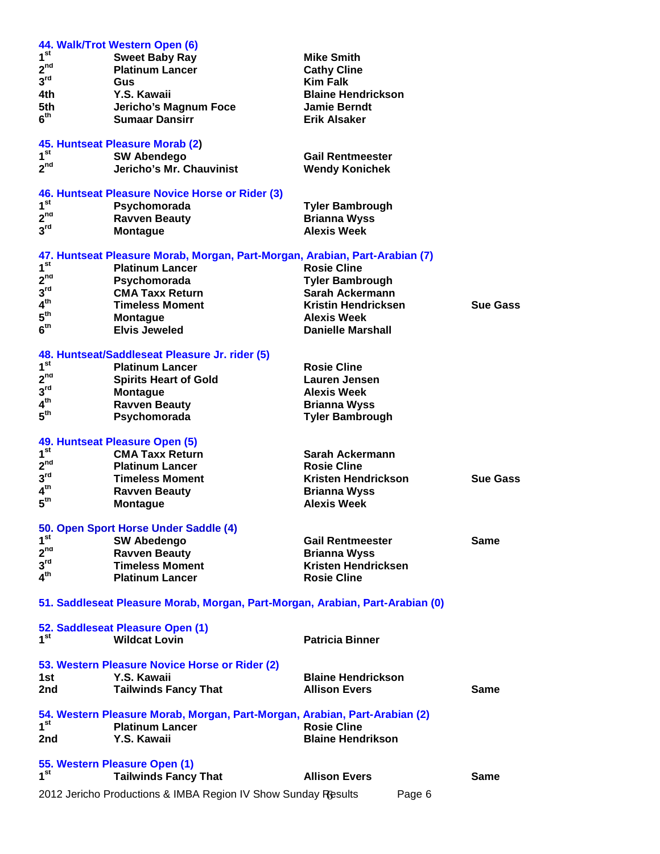|                 | 44. Walk/Trot Western Open (6)                                                |                           |                 |
|-----------------|-------------------------------------------------------------------------------|---------------------------|-----------------|
| 1 <sup>st</sup> | <b>Sweet Baby Ray</b>                                                         | <b>Mike Smith</b>         |                 |
| 2 <sup>nd</sup> | <b>Platinum Lancer</b>                                                        | <b>Cathy Cline</b>        |                 |
| 3 <sup>rd</sup> | Gus                                                                           | <b>Kim Falk</b>           |                 |
| 4th             | Y.S. Kawaii                                                                   | <b>Blaine Hendrickson</b> |                 |
| 5th             | Jericho's Magnum Foce                                                         | <b>Jamie Berndt</b>       |                 |
| 6 <sup>th</sup> | <b>Sumaar Dansirr</b>                                                         | Erik Alsaker              |                 |
|                 |                                                                               |                           |                 |
|                 | 45. Huntseat Pleasure Morab (2)                                               |                           |                 |
| 1 <sup>st</sup> | <b>SW Abendego</b>                                                            | <b>Gail Rentmeester</b>   |                 |
| 2 <sup>nd</sup> | Jericho's Mr. Chauvinist                                                      | <b>Wendy Konichek</b>     |                 |
|                 |                                                                               |                           |                 |
| 1 <sup>st</sup> | 46. Huntseat Pleasure Novice Horse or Rider (3)                               |                           |                 |
| 2 <sup>nd</sup> | Psychomorada                                                                  | <b>Tyler Bambrough</b>    |                 |
| 3 <sup>rd</sup> | <b>Ravven Beauty</b>                                                          | <b>Brianna Wyss</b>       |                 |
|                 | <b>Montague</b>                                                               | <b>Alexis Week</b>        |                 |
|                 | 47. Huntseat Pleasure Morab, Morgan, Part-Morgan, Arabian, Part-Arabian (7)   |                           |                 |
| 1 <sup>st</sup> | <b>Platinum Lancer</b>                                                        | <b>Rosie Cline</b>        |                 |
| 2 <sup>nd</sup> | Psychomorada                                                                  | <b>Tyler Bambrough</b>    |                 |
| 3 <sup>rd</sup> | <b>CMA Taxx Return</b>                                                        | <b>Sarah Ackermann</b>    |                 |
| 4 <sup>th</sup> |                                                                               | Kristin Hendricksen       |                 |
| 5 <sup>th</sup> | <b>Timeless Moment</b>                                                        |                           | <b>Sue Gass</b> |
| 6 <sup>th</sup> | <b>Montague</b>                                                               | <b>Alexis Week</b>        |                 |
|                 | <b>Elvis Jeweled</b>                                                          | <b>Danielle Marshall</b>  |                 |
|                 | 48. Huntseat/Saddleseat Pleasure Jr. rider (5)                                |                           |                 |
| 1 <sup>st</sup> | <b>Platinum Lancer</b>                                                        | <b>Rosie Cline</b>        |                 |
| 2 <sup>nd</sup> | <b>Spirits Heart of Gold</b>                                                  | <b>Lauren Jensen</b>      |                 |
| 3 <sup>rd</sup> | <b>Montague</b>                                                               | <b>Alexis Week</b>        |                 |
| 4 <sup>th</sup> | <b>Ravven Beauty</b>                                                          | <b>Brianna Wyss</b>       |                 |
| $5^{\text{th}}$ | Psychomorada                                                                  | <b>Tyler Bambrough</b>    |                 |
|                 |                                                                               |                           |                 |
|                 | 49. Huntseat Pleasure Open (5)                                                |                           |                 |
| 1 <sup>st</sup> | <b>CMA Taxx Return</b>                                                        | Sarah Ackermann           |                 |
| 2 <sup>nd</sup> | <b>Platinum Lancer</b>                                                        | <b>Rosie Cline</b>        |                 |
| 3 <sup>rd</sup> | <b>Timeless Moment</b>                                                        | Kristen Hendrickson       | <b>Sue Gass</b> |
| 4 <sup>th</sup> | <b>Ravven Beauty</b>                                                          | <b>Brianna Wyss</b>       |                 |
| 5 <sup>th</sup> | <b>Montague</b>                                                               | <b>Alexis Week</b>        |                 |
|                 |                                                                               |                           |                 |
|                 | 50. Open Sport Horse Under Saddle (4)                                         |                           |                 |
| 1 <sup>st</sup> | <b>SW Abedengo</b>                                                            | <b>Gail Rentmeester</b>   | <b>Same</b>     |
| 2 <sup>nd</sup> | <b>Ravven Beauty</b>                                                          | <b>Brianna Wyss</b>       |                 |
| 3 <sup>rd</sup> | <b>Timeless Moment</b>                                                        | Kristen Hendricksen       |                 |
| $4^{\text{th}}$ | <b>Platinum Lancer</b>                                                        | <b>Rosie Cline</b>        |                 |
|                 |                                                                               |                           |                 |
|                 | 51. Saddleseat Pleasure Morab, Morgan, Part-Morgan, Arabian, Part-Arabian (0) |                           |                 |
|                 |                                                                               |                           |                 |
|                 | 52. Saddleseat Pleasure Open (1)                                              |                           |                 |
| 1 <sup>st</sup> | <b>Wildcat Lovin</b>                                                          | <b>Patricia Binner</b>    |                 |
|                 |                                                                               |                           |                 |
|                 | 53. Western Pleasure Novice Horse or Rider (2)<br>Y.S. Kawaii                 | <b>Blaine Hendrickson</b> |                 |
| 1st             |                                                                               |                           |                 |
| 2nd             | <b>Tailwinds Fancy That</b>                                                   | <b>Allison Evers</b>      | Same            |
|                 | 54. Western Pleasure Morab, Morgan, Part-Morgan, Arabian, Part-Arabian (2)    |                           |                 |
| 1 <sup>st</sup> | <b>Platinum Lancer</b>                                                        | <b>Rosie Cline</b>        |                 |
| 2nd             | Y.S. Kawaii                                                                   | <b>Blaine Hendrikson</b>  |                 |
|                 |                                                                               |                           |                 |
|                 | 55. Western Pleasure Open (1)                                                 |                           |                 |
| 1 <sup>st</sup> | <b>Tailwinds Fancy That</b>                                                   | <b>Allison Evers</b>      | Same            |
|                 | 2012 Jericho Productions & IMBA Region IV Show Sunday Results                 | Page 6                    |                 |
|                 |                                                                               |                           |                 |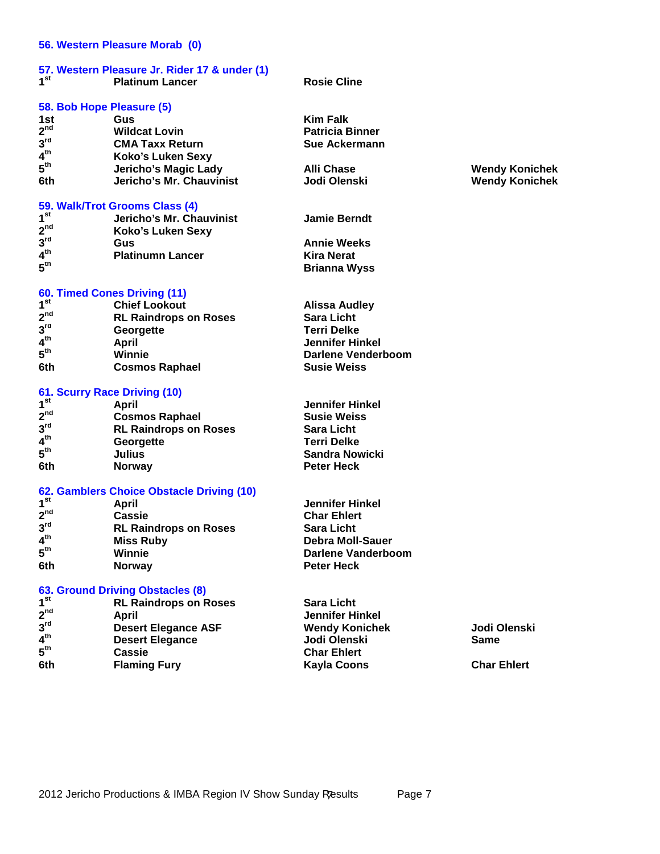## **56. Western Pleasure Morab (0)**

## **57. Western Pleasure Jr. Rider 17 & under (1) 1**<sup>st</sup> **Platinum Lancer Rosie Cline**

# **58. Bob Hope Pleasure (5)**

| Gus                      | <b>Kim Falk</b>        |
|--------------------------|------------------------|
| <b>Wildcat Lovin</b>     | <b>Patricia Binner</b> |
| <b>CMA Taxx Return</b>   | <b>Sue Ackermann</b>   |
| Koko's Luken Sexy        |                        |
| Jericho's Magic Lady     | <b>Alli Chase</b>      |
| Jericho's Mr. Chauvinist | Jodi Olenski           |
|                          |                        |

## **59. Walk/Trot Grooms Class (4)**

| 1 <sup>st</sup> | Jericho's Mr. Chauvinist | <b>Jamie Berndt</b> |  |
|-----------------|--------------------------|---------------------|--|
| 2 <sup>nd</sup> | Koko's Luken Sexy        |                     |  |
| 3 <sup>rd</sup> | Gus                      | <b>Annie Weeks</b>  |  |
| 4 <sup>th</sup> | <b>Platinumn Lancer</b>  | <b>Kira Nerat</b>   |  |
| 5 <sup>th</sup> |                          | <b>Brianna Wyss</b> |  |

# **60. Timed Cones Driving (11)**

| 1 <sup>st</sup> | <b>Chief Lookout</b>         | <b>Alissa Audley</b> |
|-----------------|------------------------------|----------------------|
| $2^{nd}$        | <b>RL Raindrops on Roses</b> | <b>Sara Licht</b>    |
| 3 <sup>rd</sup> | Georgette                    | <b>Terri Delke</b>   |
| 4 <sup>th</sup> | April                        | Jennifer Hinkel      |
| 5 <sup>th</sup> | Winnie                       | Darlene Venderboom   |
| 6th             | <b>Cosmos Raphael</b>        | <b>Susie Weiss</b>   |

# **61. Scurry Race Driving (10)**

| 1 <sup>st</sup> | April                        | Jennifer Hinkel       |
|-----------------|------------------------------|-----------------------|
| 2 <sup>nd</sup> | <b>Cosmos Raphael</b>        | <b>Susie Weiss</b>    |
| 3 <sup>rd</sup> | <b>RL Raindrops on Roses</b> | <b>Sara Licht</b>     |
| 4 <sup>th</sup> | Georgette                    | <b>Terri Delke</b>    |
| 5 <sup>th</sup> | Julius                       | <b>Sandra Nowicki</b> |
| 6th             | <b>Norway</b>                | <b>Peter Heck</b>     |

# **62. Gamblers Choice Obstacle Driving (10)**

| 1 <sup>st</sup> | April                        | <b>Jennifer Hinkel</b>  |  |
|-----------------|------------------------------|-------------------------|--|
| 2 <sup>nd</sup> | Cassie                       | <b>Char Ehlert</b>      |  |
| 3 <sup>rd</sup> | <b>RL Raindrops on Roses</b> | <b>Sara Licht</b>       |  |
| 4 <sup>th</sup> | <b>Miss Ruby</b>             | <b>Debra Moll-Sauer</b> |  |
| 5 <sup>th</sup> | Winnie                       | Darlene Vanderboom      |  |
| 6th             | <b>Norway</b>                | <b>Peter Heck</b>       |  |

# **63. Ground Driving Obstacles (8)**

| 1 <sup>st</sup> | <b>RL Raindrops on Roses</b> | <b>Sara Licht</b>      |                    |
|-----------------|------------------------------|------------------------|--------------------|
| 2 <sup>nd</sup> | April                        | <b>Jennifer Hinkel</b> |                    |
| 3 <sup>rd</sup> | <b>Desert Elegance ASF</b>   | <b>Wendy Konichek</b>  | Jodi Olenski       |
| 4 <sup>th</sup> | <b>Desert Elegance</b>       | Jodi Olenski           | <b>Same</b>        |
| 5 <sup>th</sup> | <b>Cassie</b>                | <b>Char Ehlert</b>     |                    |
| 6th             | <b>Flaming Fury</b>          | <b>Kayla Coons</b>     | <b>Char Ehlert</b> |
|                 |                              |                        |                    |

## **th Jericho's Magic Lady Alli Chase Wendy Konichek 6th Jericho's Mr. Chauvinist Jodi Olenski Wendy Konichek**

2012 Jericho Productions & IMBA Region IV Show Sunday Results Page 7